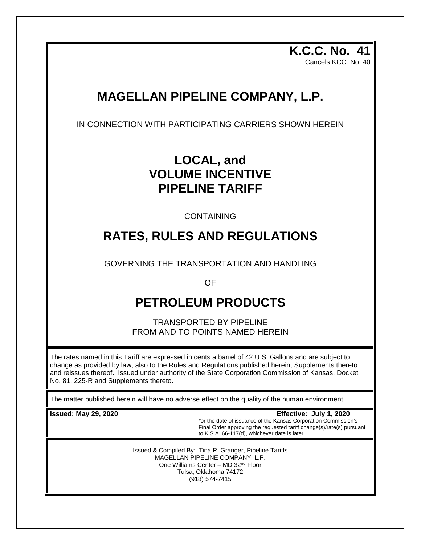**K.C.C. No. 41** Cancels KCC. No. 40

# **MAGELLAN PIPELINE COMPANY, L.P.**

IN CONNECTION WITH PARTICIPATING CARRIERS SHOWN HEREIN

# **LOCAL, and VOLUME INCENTIVE PIPELINE TARIFF**

CONTAINING

# **RATES, RULES AND REGULATIONS**

GOVERNING THE TRANSPORTATION AND HANDLING

OF

# **PETROLEUM PRODUCTS**

TRANSPORTED BY PIPELINE FROM AND TO POINTS NAMED HEREIN

The rates named in this Tariff are expressed in cents a barrel of 42 U.S. Gallons and are subject to change as provided by law; also to the Rules and Regulations published herein, Supplements thereto and reissues thereof. Issued under authority of the State Corporation Commission of Kansas, Docket No. 81, 225-R and Supplements thereto.

The matter published herein will have no adverse effect on the quality of the human environment.

**Issued: May 29, 2020 Effective: July 1, 2020** \*or the date of issuance of the Kansas Corporation Commission's Final Order approving the requested tariff change(s)/rate(s) pursuant to K.S.A. 66-117(d), whichever date is later.

> Issued & Compiled By: Tina R. Granger, Pipeline Tariffs MAGELLAN PIPELINE COMPANY, L.P. One Williams Center – MD 32nd Floor Tulsa, Oklahoma 74172 (918) 574-7415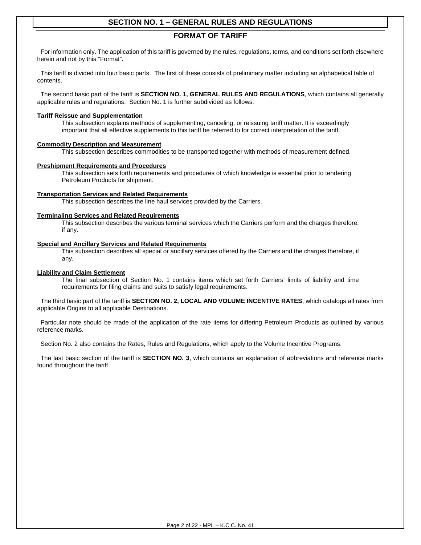### **FORMAT OF TARIFF**

 For information only. The application of this tariff is governed by the rules, regulations, terms, and conditions set forth elsewhere herein and not by this "Format".

 This tariff is divided into four basic parts. The first of these consists of preliminary matter including an alphabetical table of contents.

 The second basic part of the tariff is **SECTION NO. 1, GENERAL RULES AND REGULATIONS**, which contains all generally applicable rules and regulations. Section No. 1 is further subdivided as follows:

#### **Tariff Reissue and Supplementation**

This subsection explains methods of supplementing, canceling, or reissuing tariff matter. It is exceedingly important that all effective supplements to this tariff be referred to for correct interpretation of the tariff.

#### **Commodity Description and Measurement**

This subsection describes commodities to be transported together with methods of measurement defined.

#### **Preshipment Requirements and Procedures**

This subsection sets forth requirements and procedures of which knowledge is essential prior to tendering Petroleum Products for shipment.

#### **Transportation Services and Related Requirements**

This subsection describes the line haul services provided by the Carriers.

#### **Terminaling Services and Related Requirements**

This subsection describes the various terminal services which the Carriers perform and the charges therefore, if any.

#### **Special and Ancillary Services and Related Requirements**

This subsection describes all special or ancillary services offered by the Carriers and the charges therefore, if any.

#### **Liability and Claim Settlement**

The final subsection of Section No. 1 contains items which set forth Carriers' limits of liability and time requirements for filing claims and suits to satisfy legal requirements.

 The third basic part of the tariff is **SECTION NO. 2, LOCAL AND VOLUME INCENTIVE RATES**, which catalogs all rates from applicable Origins to all applicable Destinations.

 Particular note should be made of the application of the rate items for differing Petroleum Products as outlined by various reference marks.

Section No. 2 also contains the Rates, Rules and Regulations, which apply to the Volume Incentive Programs.

 The last basic section of the tariff is **SECTION NO. 3**, which contains an explanation of abbreviations and reference marks found throughout the tariff.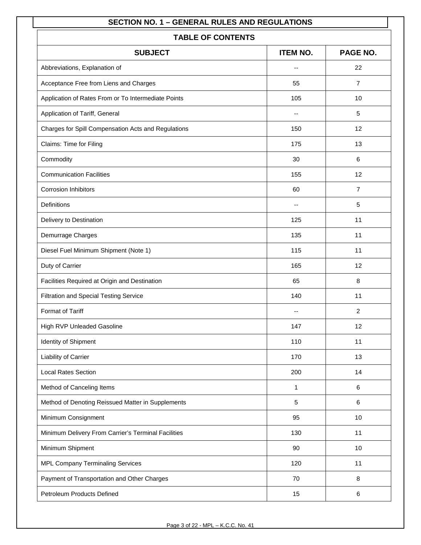| <b>TABLE OF CONTENTS</b>                            |                          |                |  |  |  |
|-----------------------------------------------------|--------------------------|----------------|--|--|--|
| PAGE NO.<br><b>SUBJECT</b><br><b>ITEM NO.</b>       |                          |                |  |  |  |
| Abbreviations, Explanation of                       | --                       | 22             |  |  |  |
| Acceptance Free from Liens and Charges              | 55                       | $\overline{7}$ |  |  |  |
| Application of Rates From or To Intermediate Points | 105                      | 10             |  |  |  |
| Application of Tariff, General                      | --                       | 5              |  |  |  |
| Charges for Spill Compensation Acts and Regulations | 150                      | 12             |  |  |  |
| Claims: Time for Filing                             | 175                      | 13             |  |  |  |
| Commodity                                           | 30                       | 6              |  |  |  |
| <b>Communication Facilities</b>                     | 155                      | 12             |  |  |  |
| <b>Corrosion Inhibitors</b>                         | 60                       | $\overline{7}$ |  |  |  |
| <b>Definitions</b>                                  | $\overline{\phantom{a}}$ | 5              |  |  |  |
| Delivery to Destination                             | 125                      | 11             |  |  |  |
| Demurrage Charges                                   | 135                      | 11             |  |  |  |
| Diesel Fuel Minimum Shipment (Note 1)               | 115                      | 11             |  |  |  |
| Duty of Carrier                                     | 165                      | 12             |  |  |  |
| Facilities Required at Origin and Destination       | 65                       | 8              |  |  |  |
| Filtration and Special Testing Service              | 140                      | 11             |  |  |  |
| Format of Tariff                                    |                          | $\overline{2}$ |  |  |  |
| High RVP Unleaded Gasoline                          | 147                      | 12             |  |  |  |
| Identity of Shipment                                | 110                      | 11             |  |  |  |
| Liability of Carrier                                | 170                      | 13             |  |  |  |
| <b>Local Rates Section</b>                          | 200                      | 14             |  |  |  |
| Method of Canceling Items                           | 1                        | 6              |  |  |  |
| Method of Denoting Reissued Matter in Supplements   | 5                        | 6              |  |  |  |
| Minimum Consignment                                 | 95                       | 10             |  |  |  |
| Minimum Delivery From Carrier's Terminal Facilities | 130                      | 11             |  |  |  |
| Minimum Shipment                                    | 90                       | 10             |  |  |  |
| MPL Company Terminaling Services                    | 120                      | 11             |  |  |  |
| Payment of Transportation and Other Charges         | 70                       | 8              |  |  |  |
| Petroleum Products Defined                          | 15                       | 6              |  |  |  |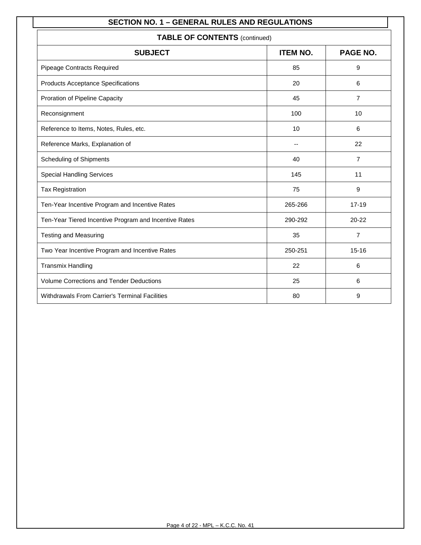| <b>TABLE OF CONTENTS (continued)</b>                  |                 |                |  |  |
|-------------------------------------------------------|-----------------|----------------|--|--|
| <b>SUBJECT</b>                                        | <b>ITEM NO.</b> | PAGE NO.       |  |  |
| <b>Pipeage Contracts Required</b>                     | 85              | 9              |  |  |
| <b>Products Acceptance Specifications</b>             | 20              | 6              |  |  |
| Proration of Pipeline Capacity                        | 45              | $\overline{7}$ |  |  |
| Reconsignment                                         | 100             | 10             |  |  |
| Reference to Items, Notes, Rules, etc.                | 10              | 6              |  |  |
| Reference Marks, Explanation of                       |                 | 22             |  |  |
| <b>Scheduling of Shipments</b>                        | 40              | $\overline{7}$ |  |  |
| <b>Special Handling Services</b>                      | 145             | 11             |  |  |
| <b>Tax Registration</b>                               | 75              | 9              |  |  |
| Ten-Year Incentive Program and Incentive Rates        | 265-266         | $17 - 19$      |  |  |
| Ten-Year Tiered Incentive Program and Incentive Rates | 290-292         | $20 - 22$      |  |  |
| <b>Testing and Measuring</b>                          | 35              | $\overline{7}$ |  |  |
| Two Year Incentive Program and Incentive Rates        | 250-251         | $15 - 16$      |  |  |
| <b>Transmix Handling</b>                              | 22              | 6              |  |  |
| <b>Volume Corrections and Tender Deductions</b>       | 25              | 6              |  |  |
| Withdrawals From Carrier's Terminal Facilities        | 80              | 9              |  |  |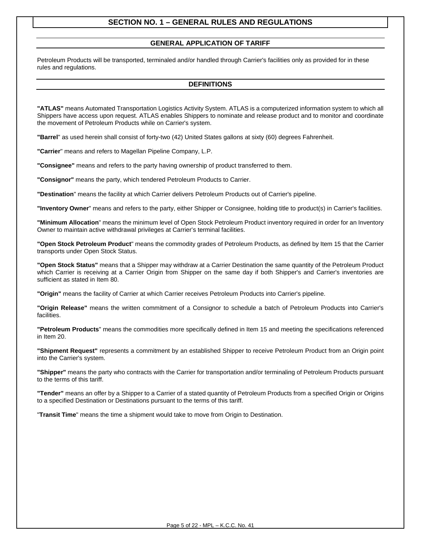#### **GENERAL APPLICATION OF TARIFF**

Petroleum Products will be transported, terminaled and/or handled through Carrier's facilities only as provided for in these rules and regulations.

#### **DEFINITIONS**

**"ATLAS"** means Automated Transportation Logistics Activity System. ATLAS is a computerized information system to which all Shippers have access upon request. ATLAS enables Shippers to nominate and release product and to monitor and coordinate the movement of Petroleum Products while on Carrier's system.

**"Barrel**" as used herein shall consist of forty-two (42) United States gallons at sixty (60) degrees Fahrenheit.

**"Carrier**" means and refers to Magellan Pipeline Company, L.P.

**"Consignee"** means and refers to the party having ownership of product transferred to them.

**"Consignor"** means the party, which tendered Petroleum Products to Carrier.

**"Destination**" means the facility at which Carrier delivers Petroleum Products out of Carrier's pipeline.

**"Inventory Owner**" means and refers to the party, either Shipper or Consignee, holding title to product(s) in Carrier's facilities.

**"Minimum Allocation**" means the minimum level of Open Stock Petroleum Product inventory required in order for an Inventory Owner to maintain active withdrawal privileges at Carrier's terminal facilities.

**"Open Stock Petroleum Product**" means the commodity grades of Petroleum Products, as defined by Item 15 that the Carrier transports under Open Stock Status.

**"Open Stock Status"** means that a Shipper may withdraw at a Carrier Destination the same quantity of the Petroleum Product which Carrier is receiving at a Carrier Origin from Shipper on the same day if both Shipper's and Carrier's inventories are sufficient as stated in Item 80.

**"Origin"** means the facility of Carrier at which Carrier receives Petroleum Products into Carrier's pipeline.

**"Origin Release"** means the written commitment of a Consignor to schedule a batch of Petroleum Products into Carrier's facilities.

**"Petroleum Products**" means the commodities more specifically defined in Item 15 and meeting the specifications referenced in Item 20.

**"Shipment Request"** represents a commitment by an established Shipper to receive Petroleum Product from an Origin point into the Carrier's system.

**"Shipper"** means the party who contracts with the Carrier for transportation and/or terminaling of Petroleum Products pursuant to the terms of this tariff.

**"Tender"** means an offer by a Shipper to a Carrier of a stated quantity of Petroleum Products from a specified Origin or Origins to a specified Destination or Destinations pursuant to the terms of this tariff.

"**Transit Time**" means the time a shipment would take to move from Origin to Destination.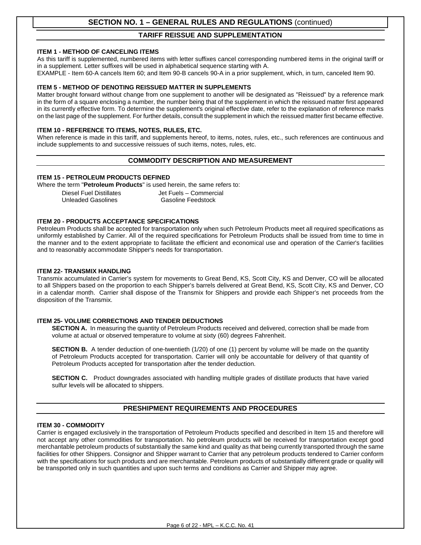#### **TARIFF REISSUE AND SUPPLEMENTATION**

#### **ITEM 1 - METHOD OF CANCELING ITEMS**

As this tariff is supplemented, numbered items with letter suffixes cancel corresponding numbered items in the original tariff or in a supplement. Letter suffixes will be used in alphabetical sequence starting with A.

EXAMPLE - Item 60-A cancels Item 60; and Item 90-B cancels 90-A in a prior supplement, which, in turn, canceled Item 90.

#### **ITEM 5 - METHOD OF DENOTING REISSUED MATTER IN SUPPLEMENTS**

Matter brought forward without change from one supplement to another will be designated as "Reissued" by a reference mark in the form of a square enclosing a number, the number being that of the supplement in which the reissued matter first appeared in its currently effective form. To determine the supplement's original effective date, refer to the explanation of reference marks on the last page of the supplement. For further details, consult the supplement in which the reissued matter first became effective.

#### **ITEM 10 - REFERENCE TO ITEMS, NOTES, RULES, ETC.**

When reference is made in this tariff, and supplements hereof, to items, notes, rules, etc., such references are continuous and include supplements to and successive reissues of such items, notes, rules, etc.

#### **COMMODITY DESCRIPTION AND MEASUREMENT**

#### **ITEM 15 - PETROLEUM PRODUCTS DEFINED**

Where the term "**Petroleum Products**" is used herein, the same refers to:

Diesel Fuel Distillates and Jet Fuels – Commercial<br>Unleaded Gasolines (Julie 1980) Gasoline Feedstock **Unleaded Gasolines** 

#### **ITEM 20 - PRODUCTS ACCEPTANCE SPECIFICATIONS**

Petroleum Products shall be accepted for transportation only when such Petroleum Products meet all required specifications as uniformly established by Carrier. All of the required specifications for Petroleum Products shall be issued from time to time in the manner and to the extent appropriate to facilitate the efficient and economical use and operation of the Carrier's facilities and to reasonably accommodate Shipper's needs for transportation.

#### **ITEM 22- TRANSMIX HANDLING**

Transmix accumulated in Carrier's system for movements to Great Bend, KS, Scott City, KS and Denver, CO will be allocated to all Shippers based on the proportion to each Shipper's barrels delivered at Great Bend, KS, Scott City, KS and Denver, CO in a calendar month. Carrier shall dispose of the Transmix for Shippers and provide each Shipper's net proceeds from the disposition of the Transmix.

#### **ITEM 25- VOLUME CORRECTIONS AND TENDER DEDUCTIONS**

**SECTION A.** In measuring the quantity of Petroleum Products received and delivered, correction shall be made from volume at actual or observed temperature to volume at sixty (60) degrees Fahrenheit.

**SECTION B.** A tender deduction of one-twentieth (1/20) of one (1) percent by volume will be made on the quantity of Petroleum Products accepted for transportation. Carrier will only be accountable for delivery of that quantity of Petroleum Products accepted for transportation after the tender deduction.

**SECTION C.** Product downgrades associated with handling multiple grades of distillate products that have varied sulfur levels will be allocated to shippers.

#### **PRESHIPMENT REQUIREMENTS AND PROCEDURES**

#### **ITEM 30 - COMMODITY**

Carrier is engaged exclusively in the transportation of Petroleum Products specified and described in Item 15 and therefore will not accept any other commodities for transportation. No petroleum products will be received for transportation except good merchantable petroleum products of substantially the same kind and quality as that being currently transported through the same facilities for other Shippers. Consignor and Shipper warrant to Carrier that any petroleum products tendered to Carrier conform with the specifications for such products and are merchantable. Petroleum products of substantially different grade or quality will be transported only in such quantities and upon such terms and conditions as Carrier and Shipper may agree.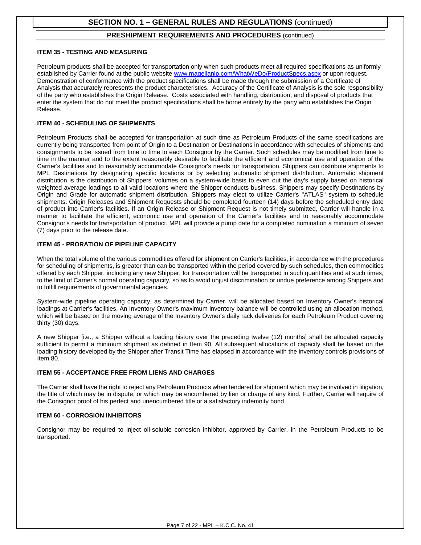#### **PRESHIPMENT REQUIREMENTS AND PROCEDURES** (continued)

#### **ITEM 35 - TESTING AND MEASURING**

Petroleum products shall be accepted for transportation only when such products meet all required specifications as uniformly established by Carrier found at the public website [www.magellanlp.com/WhatWeDo/ProductSpecs.aspx](http://www.magellanlp.com/WhatWeDo/ProductSpecs.aspx) or upon request. Demonstration of conformance with the product specifications shall be made through the submission of a Certificate of Analysis that accurately represents the product characteristics. Accuracy of the Certificate of Analysis is the sole responsibility of the party who establishes the Origin Release. Costs associated with handling, distribution, and disposal of products that enter the system that do not meet the product specifications shall be borne entirely by the party who establishes the Origin Release.

#### **ITEM 40 - SCHEDULING OF SHIPMENTS**

Petroleum Products shall be accepted for transportation at such time as Petroleum Products of the same specifications are currently being transported from point of Origin to a Destination or Destinations in accordance with schedules of shipments and consignments to be issued from time to time to each Consignor by the Carrier. Such schedules may be modified from time to time in the manner and to the extent reasonably desirable to facilitate the efficient and economical use and operation of the Carrier's facilities and to reasonably accommodate Consignor's needs for transportation. Shippers can distribute shipments to MPL Destinations by designating specific locations or by selecting automatic shipment distribution. Automatic shipment distribution is the distribution of Shippers' volumes on a system-wide basis to even out the day's supply based on historical weighted average loadings to all valid locations where the Shipper conducts business. Shippers may specify Destinations by Origin and Grade for automatic shipment distribution. Shippers may elect to utilize Carrier's "ATLAS" system to schedule shipments. Origin Releases and Shipment Requests should be completed fourteen (14) days before the scheduled entry date of product into Carrier's facilities. If an Origin Release or Shipment Request is not timely submitted, Carrier will handle in a manner to facilitate the efficient, economic use and operation of the Carrier's facilities and to reasonably accommodate Consignor's needs for transportation of product. MPL will provide a pump date for a completed nomination a minimum of seven (7) days prior to the release date.

#### **ITEM 45 - PRORATION OF PIPELINE CAPACITY**

When the total volume of the various commodities offered for shipment on Carrier's facilities, in accordance with the procedures for scheduling of shipments, is greater than can be transported within the period covered by such schedules, then commodities offered by each Shipper, including any new Shipper, for transportation will be transported in such quantities and at such times, to the limit of Carrier's normal operating capacity, so as to avoid unjust discrimination or undue preference among Shippers and to fulfill requirements of governmental agencies.

System-wide pipeline operating capacity, as determined by Carrier, will be allocated based on Inventory Owner's historical loadings at Carrier's facilities. An Inventory Owner's maximum inventory balance will be controlled using an allocation method, which will be based on the moving average of the Inventory Owner's daily rack deliveries for each Petroleum Product covering thirty (30) days.

A new Shipper [i.e., a Shipper without a loading history over the preceding twelve (12) months] shall be allocated capacity sufficient to permit a minimum shipment as defined in Item 90. All subsequent allocations of capacity shall be based on the loading history developed by the Shipper after Transit Time has elapsed in accordance with the inventory controls provisions of Item 80.

#### **ITEM 55 - ACCEPTANCE FREE FROM LIENS AND CHARGES**

The Carrier shall have the right to reject any Petroleum Products when tendered for shipment which may be involved in litigation, the title of which may be in dispute, or which may be encumbered by lien or charge of any kind. Further, Carrier will require of the Consignor proof of his perfect and unencumbered title or a satisfactory indemnity bond.

#### **ITEM 60 - CORROSION INHIBITORS**

Consignor may be required to inject oil-soluble corrosion inhibitor, approved by Carrier, in the Petroleum Products to be transported.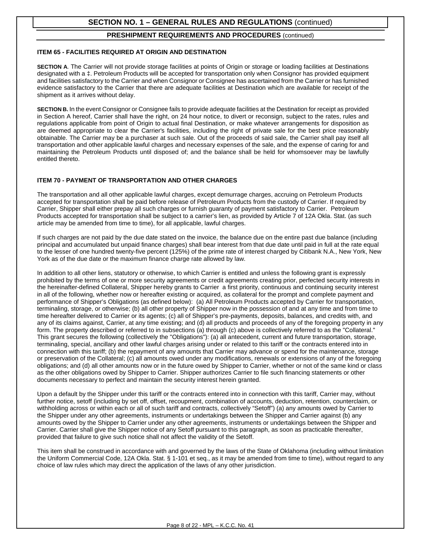#### **PRESHIPMENT REQUIREMENTS AND PROCEDURES** (continued)

#### **ITEM 65 - FACILITIES REQUIRED AT ORIGIN AND DESTINATION**

**SECTION A**. The Carrier will not provide storage facilities at points of Origin or storage or loading facilities at Destinations designated with a ‡. Petroleum Products will be accepted for transportation only when Consignor has provided equipment and facilities satisfactory to the Carrier and when Consignor or Consignee has ascertained from the Carrier or has furnished evidence satisfactory to the Carrier that there are adequate facilities at Destination which are available for receipt of the shipment as it arrives without delay.

**SECTION B.** In the event Consignor or Consignee fails to provide adequate facilities at the Destination for receipt as provided in Section A hereof, Carrier shall have the right, on 24 hour notice, to divert or reconsign, subject to the rates, rules and regulations applicable from point of Origin to actual final Destination, or make whatever arrangements for disposition as are deemed appropriate to clear the Carrier's facilities, including the right of private sale for the best price reasonably obtainable. The Carrier may be a purchaser at such sale. Out of the proceeds of said sale, the Carrier shall pay itself all transportation and other applicable lawful charges and necessary expenses of the sale, and the expense of caring for and maintaining the Petroleum Products until disposed of; and the balance shall be held for whomsoever may be lawfully entitled thereto.

#### **ITEM 70 - PAYMENT OF TRANSPORTATION AND OTHER CHARGES**

The transportation and all other applicable lawful charges, except demurrage charges, accruing on Petroleum Products accepted for transportation shall be paid before release of Petroleum Products from the custody of Carrier. If required by Carrier, Shipper shall either prepay all such charges or furnish guaranty of payment satisfactory to Carrier. Petroleum Products accepted for transportation shall be subject to a carrier's lien, as provided by Article 7 of 12A Okla. Stat. (as such article may be amended from time to time), for all applicable, lawful charges.

If such charges are not paid by the due date stated on the invoice, the balance due on the entire past due balance (including principal and accumulated but unpaid finance charges) shall bear interest from that due date until paid in full at the rate equal to the lesser of one hundred twenty-five percent (125%) of the prime rate of interest charged by Citibank N.A., New York, New York as of the due date or the maximum finance charge rate allowed by law.

In addition to all other liens, statutory or otherwise, to which Carrier is entitled and unless the following grant is expressly prohibited by the terms of one or more security agreements or credit agreements creating prior, perfected security interests in the hereinafter-defined Collateral, Shipper hereby grants to Carrier a first priority, continuous and continuing security interest in all of the following, whether now or hereafter existing or acquired, as collateral for the prompt and complete payment and performance of Shipper's Obligations (as defined below): (a) All Petroleum Products accepted by Carrier for transportation, terminaling, storage, or otherwise; (b) all other property of Shipper now in the possession of and at any time and from time to time hereafter delivered to Carrier or its agents; (c) all of Shipper's pre-payments, deposits, balances, and credits with, and any of its claims against, Carrier, at any time existing; and (d) all products and proceeds of any of the foregoing property in any form. The property described or referred to in subsections (a) through (c) above is collectively referred to as the "Collateral." This grant secures the following (collectively the "Obligations"): (a) all antecedent, current and future transportation, storage, terminaling, special, ancillary and other lawful charges arising under or related to this tariff or the contracts entered into in connection with this tariff; (b) the repayment of any amounts that Carrier may advance or spend for the maintenance, storage or preservation of the Collateral; (c) all amounts owed under any modifications, renewals or extensions of any of the foregoing obligations; and (d) all other amounts now or in the future owed by Shipper to Carrier, whether or not of the same kind or class as the other obligations owed by Shipper to Carrier. Shipper authorizes Carrier to file such financing statements or other documents necessary to perfect and maintain the security interest herein granted.

Upon a default by the Shipper under this tariff or the contracts entered into in connection with this tariff, Carrier may, without further notice, setoff (including by set off, offset, recoupment, combination of accounts, deduction, retention, counterclaim, or withholding across or within each or all of such tariff and contracts, collectively "Setoff") (a) any amounts owed by Carrier to the Shipper under any other agreements, instruments or undertakings between the Shipper and Carrier against (b) any amounts owed by the Shipper to Carrier under any other agreements, instruments or undertakings between the Shipper and Carrier. Carrier shall give the Shipper notice of any Setoff pursuant to this paragraph, as soon as practicable thereafter, provided that failure to give such notice shall not affect the validity of the Setoff.

This item shall be construed in accordance with and governed by the laws of the State of Oklahoma (including without limitation the Uniform Commercial Code, 12A Okla. Stat. § 1-101 et seq., as it may be amended from time to time), without regard to any choice of law rules which may direct the application of the laws of any other jurisdiction.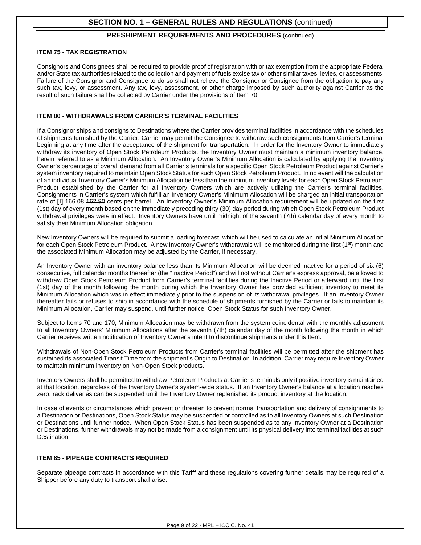#### **PRESHIPMENT REQUIREMENTS AND PROCEDURES** (continued)

#### **ITEM 75 - TAX REGISTRATION**

Consignors and Consignees shall be required to provide proof of registration with or tax exemption from the appropriate Federal and/or State tax authorities related to the collection and payment of fuels excise tax or other similar taxes, levies, or assessments. Failure of the Consignor and Consignee to do so shall not relieve the Consignor or Consignee from the obligation to pay any such tax, levy, or assessment. Any tax, levy, assessment, or other charge imposed by such authority against Carrier as the result of such failure shall be collected by Carrier under the provisions of Item 70.

#### **ITEM 80 - WITHDRAWALS FROM CARRIER'S TERMINAL FACILITIES**

If a Consignor ships and consigns to Destinations where the Carrier provides terminal facilities in accordance with the schedules of shipments furnished by the Carrier, Carrier may permit the Consignee to withdraw such consignments from Carrier's terminal beginning at any time after the acceptance of the shipment for transportation. In order for the Inventory Owner to immediately withdraw its inventory of Open Stock Petroleum Products, the Inventory Owner must maintain a minimum inventory balance, herein referred to as a Minimum Allocation. An Inventory Owner's Minimum Allocation is calculated by applying the Inventory Owner's percentage of overall demand from all Carrier's terminals for a specific Open Stock Petroleum Product against Carrier's system inventory required to maintain Open Stock Status for such Open Stock Petroleum Product. In no event will the calculation of an individual Inventory Owner's Minimum Allocation be less than the minimum inventory levels for each Open Stock Petroleum Product established by the Carrier for all Inventory Owners which are actively utilizing the Carrier's terminal facilities. Consignments in Carrier's system which fulfill an Inventory Owner's Minimum Allocation will be charged an initial transportation rate of **[I]** 166.08 462.80 cents per barrel. An Inventory Owner's Minimum Allocation requirement will be updated on the first (1st) day of every month based on the immediately preceding thirty (30) day period during which Open Stock Petroleum Product withdrawal privileges were in effect. Inventory Owners have until midnight of the seventh (7th) calendar day of every month to satisfy their Minimum Allocation obligation.

New Inventory Owners will be required to submit a loading forecast, which will be used to calculate an initial Minimum Allocation for each Open Stock Petroleum Product. A new Inventory Owner's withdrawals will be monitored during the first  $(1<sup>st</sup>)$  month and the associated Minimum Allocation may be adjusted by the Carrier, if necessary.

An Inventory Owner with an inventory balance less than its Minimum Allocation will be deemed inactive for a period of six (6) consecutive, full calendar months thereafter (the "Inactive Period") and will not without Carrier's express approval, be allowed to withdraw Open Stock Petroleum Product from Carrier's terminal facilities during the Inactive Period or afterward until the first (1st) day of the month following the month during which the Inventory Owner has provided sufficient inventory to meet its Minimum Allocation which was in effect immediately prior to the suspension of its withdrawal privileges. If an Inventory Owner thereafter fails or refuses to ship in accordance with the schedule of shipments furnished by the Carrier or fails to maintain its Minimum Allocation, Carrier may suspend, until further notice, Open Stock Status for such Inventory Owner.

Subject to Items 70 and 170, Minimum Allocation may be withdrawn from the system coincidental with the monthly adjustment to all Inventory Owners' Minimum Allocations after the seventh (7th) calendar day of the month following the month in which Carrier receives written notification of Inventory Owner's intent to discontinue shipments under this Item.

Withdrawals of Non-Open Stock Petroleum Products from Carrier's terminal facilities will be permitted after the shipment has sustained its associated Transit Time from the shipment's Origin to Destination. In addition, Carrier may require Inventory Owner to maintain minimum inventory on Non-Open Stock products.

Inventory Owners shall be permitted to withdraw Petroleum Products at Carrier's terminals only if positive inventory is maintained at that location, regardless of the Inventory Owner's system-wide status. If an Inventory Owner's balance at a location reaches zero, rack deliveries can be suspended until the Inventory Owner replenished its product inventory at the location.

In case of events or circumstances which prevent or threaten to prevent normal transportation and delivery of consignments to a Destination or Destinations, Open Stock Status may be suspended or controlled as to all Inventory Owners at such Destination or Destinations until further notice. When Open Stock Status has been suspended as to any Inventory Owner at a Destination or Destinations, further withdrawals may not be made from a consignment until its physical delivery into terminal facilities at such Destination.

#### **ITEM 85 - PIPEAGE CONTRACTS REQUIRED**

Separate pipeage contracts in accordance with this Tariff and these regulations covering further details may be required of a Shipper before any duty to transport shall arise.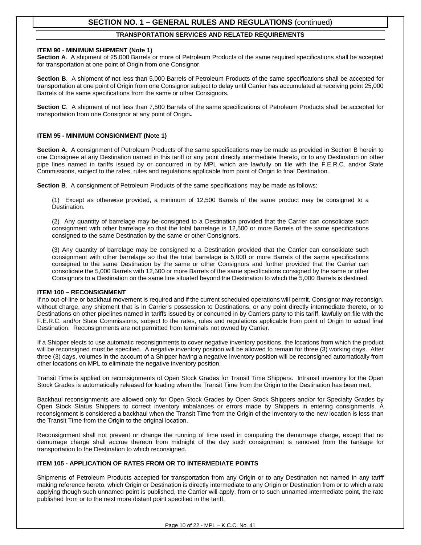#### **TRANSPORTATION SERVICES AND RELATED REQUIREMENTS**

#### **ITEM 90 - MINIMUM SHIPMENT (Note 1)**

**Section A**. A shipment of 25,000 Barrels or more of Petroleum Products of the same required specifications shall be accepted for transportation at one point of Origin from one Consignor.

**Section B**. A shipment of not less than 5,000 Barrels of Petroleum Products of the same specifications shall be accepted for transportation at one point of Origin from one Consignor subject to delay until Carrier has accumulated at receiving point 25,000 Barrels of the same specifications from the same or other Consignors.

**Section C**. A shipment of not less than 7,500 Barrels of the same specifications of Petroleum Products shall be accepted for transportation from one Consignor at any point of Origin.

#### **ITEM 95 - MINIMUM CONSIGNMENT (Note 1)**

**Section A**. A consignment of Petroleum Products of the same specifications may be made as provided in Section B herein to one Consignee at any Destination named in this tariff or any point directly intermediate thereto, or to any Destination on other pipe lines named in tariffs issued by or concurred in by MPL which are lawfully on file with the F.E.R.C. and/or State Commissions, subject to the rates, rules and regulations applicable from point of Origin to final Destination.

**Section B**.A consignment of Petroleum Products of the same specifications may be made as follows:

(1) Except as otherwise provided, a minimum of 12,500 Barrels of the same product may be consigned to a Destination.

(2) Any quantity of barrelage may be consigned to a Destination provided that the Carrier can consolidate such consignment with other barrelage so that the total barrelage is 12,500 or more Barrels of the same specifications consigned to the same Destination by the same or other Consignors.

(3) Any quantity of barrelage may be consigned to a Destination provided that the Carrier can consolidate such consignment with other barrelage so that the total barrelage is 5,000 or more Barrels of the same specifications consigned to the same Destination by the same or other Consignors and further provided that the Carrier can consolidate the 5,000 Barrels with 12,500 or more Barrels of the same specifications consigned by the same or other Consignors to a Destination on the same line situated beyond the Destination to which the 5,000 Barrels is destined.

#### **ITEM 100 – RECONSIGNMENT**

If no out-of-line or backhaul movement is required and if the current scheduled operations will permit, Consignor may reconsign, without charge, any shipment that is in Carrier's possession to Destinations, or any point directly intermediate thereto, or to Destinations on other pipelines named in tariffs issued by or concurred in by Carriers party to this tariff, lawfully on file with the F.E.R.C. and/or State Commissions, subject to the rates, rules and regulations applicable from point of Origin to actual final Destination. Reconsignments are not permitted from terminals not owned by Carrier.

If a Shipper elects to use automatic reconsignments to cover negative inventory positions, the locations from which the product will be reconsigned must be specified. A negative inventory position will be allowed to remain for three (3) working days. After three (3) days, volumes in the account of a Shipper having a negative inventory position will be reconsigned automatically from other locations on MPL to eliminate the negative inventory position.

Transit Time is applied on reconsignments of Open Stock Grades for Transit Time Shippers. Intransit inventory for the Open Stock Grades is automatically released for loading when the Transit Time from the Origin to the Destination has been met.

Backhaul reconsignments are allowed only for Open Stock Grades by Open Stock Shippers and/or for Specialty Grades by Open Stock Status Shippers to correct inventory imbalances or errors made by Shippers in entering consignments. A reconsignment is considered a backhaul when the Transit Time from the Origin of the inventory to the new location is less than the Transit Time from the Origin to the original location.

Reconsignment shall not prevent or change the running of time used in computing the demurrage charge, except that no demurrage charge shall accrue thereon from midnight of the day such consignment is removed from the tankage for transportation to the Destination to which reconsigned.

#### **ITEM 105 - APPLICATION OF RATES FROM OR TO INTERMEDIATE POINTS**

Shipments of Petroleum Products accepted for transportation from any Origin or to any Destination not named in any tariff making reference hereto, which Origin or Destination is directly intermediate to any Origin or Destination from or to which a rate applying though such unnamed point is published, the Carrier will apply, from or to such unnamed intermediate point, the rate published from or to the next more distant point specified in the tariff.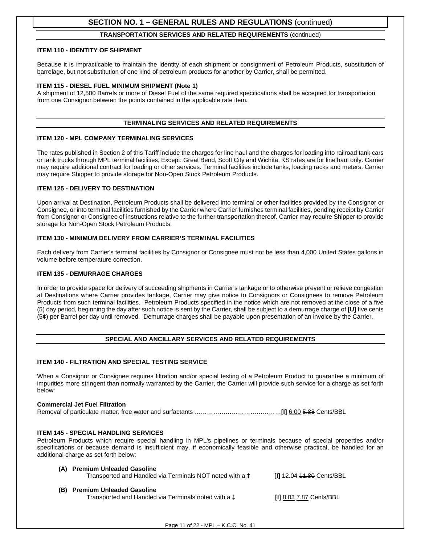#### **TRANSPORTATION SERVICES AND RELATED REQUIREMENTS** (continued)

#### **ITEM 110 - IDENTITY OF SHIPMENT**

Because it is impracticable to maintain the identity of each shipment or consignment of Petroleum Products, substitution of barrelage, but not substitution of one kind of petroleum products for another by Carrier, shall be permitted.

#### **ITEM 115 - DIESEL FUEL MINIMUM SHIPMENT (Note 1)**

A shipment of 12,500 Barrels or more of Diesel Fuel of the same required specifications shall be accepted for transportation from one Consignor between the points contained in the applicable rate item.

#### **TERMINALING SERVICES AND RELATED REQUIREMENTS**

#### **ITEM 120 - MPL COMPANY TERMINALING SERVICES**

The rates published in Section 2 of this Tariff include the charges for line haul and the charges for loading into railroad tank cars or tank trucks through MPL terminal facilities, Except: Great Bend, Scott City and Wichita, KS rates are for line haul only. Carrier may require additional contract for loading or other services. Terminal facilities include tanks, loading racks and meters. Carrier may require Shipper to provide storage for Non-Open Stock Petroleum Products.

#### **ITEM 125 - DELIVERY TO DESTINATION**

Upon arrival at Destination, Petroleum Products shall be delivered into terminal or other facilities provided by the Consignor or Consignee, or into terminal facilities furnished by the Carrier where Carrier furnishes terminal facilities, pending receipt by Carrier from Consignor or Consignee of instructions relative to the further transportation thereof. Carrier may require Shipper to provide storage for Non-Open Stock Petroleum Products.

#### **ITEM 130 - MINIMUM DELIVERY FROM CARRIER'S TERMINAL FACILITIES**

Each delivery from Carrier's terminal facilities by Consignor or Consignee must not be less than 4,000 United States gallons in volume before temperature correction.

#### **ITEM 135 - DEMURRAGE CHARGES**

In order to provide space for delivery of succeeding shipments in Carrier's tankage or to otherwise prevent or relieve congestion at Destinations where Carrier provides tankage, Carrier may give notice to Consignors or Consignees to remove Petroleum Products from such terminal facilities. Petroleum Products specified in the notice which are not removed at the close of a five (5) day period, beginning the day after such notice is sent by the Carrier, shall be subject to a demurrage charge of **[U]** five cents (5¢) per Barrel per day until removed. Demurrage charges shall be payable upon presentation of an invoice by the Carrier.

#### **SPECIAL AND ANCILLARY SERVICES AND RELATED REQUIREMENTS**

#### **ITEM 140 - FILTRATION AND SPECIAL TESTING SERVICE**

When a Consignor or Consignee requires filtration and/or special testing of a Petroleum Product to guarantee a minimum of impurities more stringent than normally warranted by the Carrier, the Carrier will provide such service for a charge as set forth below:

#### **Commercial Jet Fuel Filtration**

Removal of particulate matter, free water and surfactants ……………………………………**[I]** 6.00 5.88 Cents/BBL

#### **ITEM 145 - SPECIAL HANDLING SERVICES**

Petroleum Products which require special handling in MPL's pipelines or terminals because of special properties and/or specifications or because demand is insufficient may, if economically feasible and otherwise practical, be handled for an additional charge as set forth below:

| (A) Premium Unleaded Gasoline<br>Transported and Handled via Terminals NOT noted with a $\ddagger$ | <b>III</b> 12.04 <del>11.80</del> Cents/BBL |
|----------------------------------------------------------------------------------------------------|---------------------------------------------|
| (B) Premium Unleaded Gasoline<br>Transported and Handled via Terminals noted with a $\ddagger$     | <b>III</b> 8.03 7.87 Cents/BBL              |

Page 11 of 22 - MPL – K.C.C. No. 41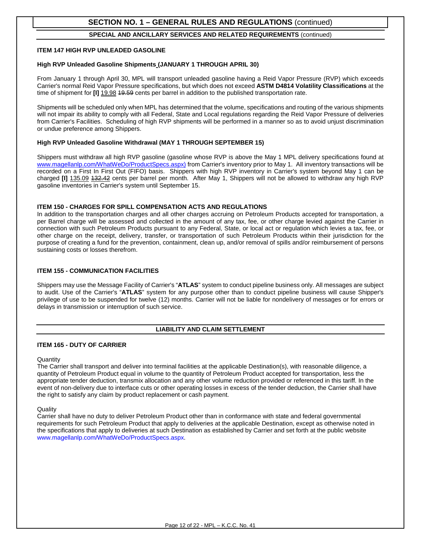#### **SPECIAL AND ANCILLARY SERVICES AND RELATED REQUIREMENTS** (continued)

#### **ITEM 147 HIGH RVP UNLEADED GASOLINE**

#### **High RVP Unleaded Gasoline Shipments (JANUARY 1 THROUGH APRIL 30)**

From January 1 through April 30, MPL will transport unleaded gasoline having a Reid Vapor Pressure (RVP) which exceeds Carrier's normal Reid Vapor Pressure specifications, but which does not exceed **ASTM D4814 Volatility Classifications** at the time of shipment for **[I]** 19.98 49.59 cents per barrel in addition to the published transportation rate.

Shipments will be scheduled only when MPL has determined that the volume, specifications and routing of the various shipments will not impair its ability to comply with all Federal, State and Local regulations regarding the Reid Vapor Pressure of deliveries from Carrier's Facilities. Scheduling of high RVP shipments will be performed in a manner so as to avoid unjust discrimination or undue preference among Shippers.

#### **High RVP Unleaded Gasoline Withdrawal (MAY 1 THROUGH SEPTEMBER 15)**

Shippers must withdraw all high RVP gasoline (gasoline whose RVP is above the May 1 MPL delivery specifications found at [www.magellanlp.com/WhatWeDo/ProductSpecs.aspx\)](http://www.magellanlp.com/WhatWeDo/ProductSpecs.aspx) from Carrier's inventory prior to May 1. All inventory transactions will be recorded on a First In First Out (FIFO) basis. Shippers with high RVP inventory in Carrier's system beyond May 1 can be charged **[I]** 135.09 132.42 cents per barrel per month. After May 1, Shippers will not be allowed to withdraw any high RVP gasoline inventories in Carrier's system until September 15.

#### **ITEM 150 - CHARGES FOR SPILL COMPENSATION ACTS AND REGULATIONS**

In addition to the transportation charges and all other charges accruing on Petroleum Products accepted for transportation, a per Barrel charge will be assessed and collected in the amount of any tax, fee, or other charge levied against the Carrier in connection with such Petroleum Products pursuant to any Federal, State, or local act or regulation which levies a tax, fee, or other charge on the receipt, delivery, transfer, or transportation of such Petroleum Products within their jurisdiction for the purpose of creating a fund for the prevention, containment, clean up, and/or removal of spills and/or reimbursement of persons sustaining costs or losses therefrom.

#### **ITEM 155 - COMMUNICATION FACILITIES**

Shippers may use the Message Facility of Carrier's "**ATLAS**" system to conduct pipeline business only. All messages are subject to audit. Use of the Carrier's "**ATLAS**" system for any purpose other than to conduct pipeline business will cause Shipper's privilege of use to be suspended for twelve (12) months. Carrier will not be liable for nondelivery of messages or for errors or delays in transmission or interruption of such service.

#### **LIABILITY AND CLAIM SETTLEMENT**

#### **ITEM 165 - DUTY OF CARRIER**

#### **Quantity**

The Carrier shall transport and deliver into terminal facilities at the applicable Destination(s), with reasonable diligence, a quantity of Petroleum Product equal in volume to the quantity of Petroleum Product accepted for transportation, less the appropriate tender deduction, transmix allocation and any other volume reduction provided or referenced in this tariff. In the event of non-delivery due to interface cuts or other operating losses in excess of the tender deduction, the Carrier shall have the right to satisfy any claim by product replacement or cash payment.

#### **Quality**

Carrier shall have no duty to deliver Petroleum Product other than in conformance with state and federal governmental requirements for such Petroleum Product that apply to deliveries at the applicable Destination, except as otherwise noted in the specifications that apply to deliveries at such Destination as established by Carrier and set forth at the public website [www.magellanlp.com/WhatWeDo/ProductSpecs.aspx.](http://www.magellanlp.com/WhatWeDo/ProductSpecs.aspx)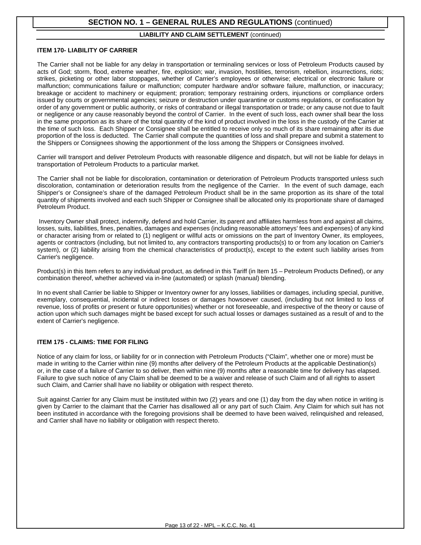#### **LIABILITY AND CLAIM SETTLEMENT** (continued)

#### **ITEM 170- LIABILITY OF CARRIER**

The Carrier shall not be liable for any delay in transportation or terminaling services or loss of Petroleum Products caused by acts of God; storm, flood, extreme weather, fire, explosion; war, invasion, hostilities, terrorism, rebellion, insurrections, riots; strikes, picketing or other labor stoppages, whether of Carrier's employees or otherwise; electrical or electronic failure or malfunction; communications failure or malfunction; computer hardware and/or software failure, malfunction, or inaccuracy; breakage or accident to machinery or equipment; proration; temporary restraining orders, injunctions or compliance orders issued by courts or governmental agencies; seizure or destruction under quarantine or customs regulations, or confiscation by order of any government or public authority, or risks of contraband or illegal transportation or trade; or any cause not due to fault or negligence or any cause reasonably beyond the control of Carrier. In the event of such loss, each owner shall bear the loss in the same proportion as its share of the total quantity of the kind of product involved in the loss in the custody of the Carrier at the time of such loss. Each Shipper or Consignee shall be entitled to receive only so much of its share remaining after its due proportion of the loss is deducted. The Carrier shall compute the quantities of loss and shall prepare and submit a statement to the Shippers or Consignees showing the apportionment of the loss among the Shippers or Consignees involved.

Carrier will transport and deliver Petroleum Products with reasonable diligence and dispatch, but will not be liable for delays in transportation of Petroleum Products to a particular market.

The Carrier shall not be liable for discoloration, contamination or deterioration of Petroleum Products transported unless such discoloration, contamination or deterioration results from the negligence of the Carrier. In the event of such damage, each Shipper's or Consignee's share of the damaged Petroleum Product shall be in the same proportion as its share of the total quantity of shipments involved and each such Shipper or Consignee shall be allocated only its proportionate share of damaged Petroleum Product.

Inventory Owner shall protect, indemnify, defend and hold Carrier, its parent and affiliates harmless from and against all claims, losses, suits, liabilities, fines, penalties, damages and expenses (including reasonable attorneys' fees and expenses) of any kind or character arising from or related to (1) negligent or willful acts or omissions on the part of Inventory Owner, its employees, agents or contractors (including, but not limited to, any contractors transporting products(s) to or from any location on Carrier's system), or (2) liability arising from the chemical characteristics of product(s), except to the extent such liability arises from Carrier's negligence.

Product(s) in this Item refers to any individual product, as defined in this Tariff (in Item 15 – Petroleum Products Defined), or any combination thereof, whether achieved via in-line (automated) or splash (manual) blending.

In no event shall Carrier be liable to Shipper or Inventory owner for any losses, liabilities or damages, including special, punitive, exemplary, consequential, incidental or indirect losses or damages howsoever caused, (including but not limited to loss of revenue, loss of profits or present or future opportunities) whether or not foreseeable, and irrespective of the theory or cause of action upon which such damages might be based except for such actual losses or damages sustained as a result of and to the extent of Carrier's negligence.

#### **ITEM 175 - CLAIMS: TIME FOR FILING**

Notice of any claim for loss, or liability for or in connection with Petroleum Products ("Claim", whether one or more) must be made in writing to the Carrier within nine (9) months after delivery of the Petroleum Products at the applicable Destination(s) or, in the case of a failure of Carrier to so deliver, then within nine (9) months after a reasonable time for delivery has elapsed. Failure to give such notice of any Claim shall be deemed to be a waiver and release of such Claim and of all rights to assert such Claim, and Carrier shall have no liability or obligation with respect thereto.

Suit against Carrier for any Claim must be instituted within two (2) years and one (1) day from the day when notice in writing is given by Carrier to the claimant that the Carrier has disallowed all or any part of such Claim. Any Claim for which suit has not been instituted in accordance with the foregoing provisions shall be deemed to have been waived, relinquished and released, and Carrier shall have no liability or obligation with respect thereto.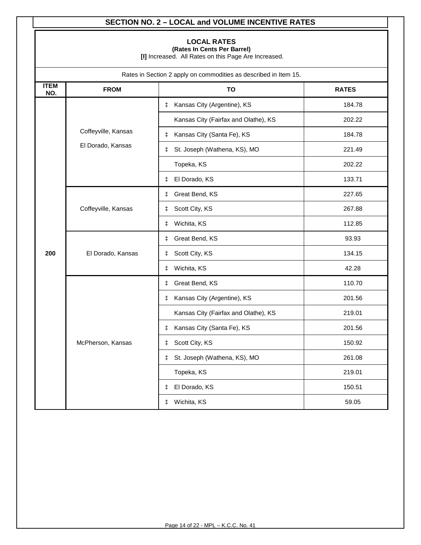## **SECTION NO. 2 – LOCAL and VOLUME INCENTIVE RATES**

### **LOCAL RATES**

**(Rates In Cents Per Barrel)**

**[I]** Increased. All Rates on this Page Are Increased.

|                    | Rates in Section 2 apply on commodities as described in Item 15. |                                      |              |  |  |
|--------------------|------------------------------------------------------------------|--------------------------------------|--------------|--|--|
| <b>ITEM</b><br>NO. | <b>FROM</b>                                                      | <b>TO</b>                            | <b>RATES</b> |  |  |
|                    |                                                                  | Kansas City (Argentine), KS<br>ŧ     | 184.78       |  |  |
|                    |                                                                  | Kansas City (Fairfax and Olathe), KS | 202.22       |  |  |
|                    | Coffeyville, Kansas                                              | Kansas City (Santa Fe), KS<br>ŧ      | 184.78       |  |  |
|                    | El Dorado, Kansas                                                | St. Joseph (Wathena, KS), MO<br>ŧ    | 221.49       |  |  |
|                    |                                                                  | Topeka, KS                           | 202.22       |  |  |
|                    |                                                                  | El Dorado, KS<br>‡.                  | 133.71       |  |  |
|                    |                                                                  | Great Bend, KS<br>ŧ                  | 227.65       |  |  |
|                    | Coffeyville, Kansas                                              | Scott City, KS<br>ŧ                  | 267.88       |  |  |
|                    |                                                                  | Wichita, KS<br>ŧ                     | 112.85       |  |  |
|                    |                                                                  | Great Bend, KS<br>ŧ                  | 93.93        |  |  |
| 200                | El Dorado, Kansas<br>Scott City, KS<br>ŧ                         | 134.15                               |              |  |  |
|                    |                                                                  | 42.28                                |              |  |  |
|                    |                                                                  | Great Bend, KS<br>ŧ                  | 110.70       |  |  |
|                    |                                                                  | Kansas City (Argentine), KS<br>ŧ.    | 201.56       |  |  |
|                    |                                                                  | Kansas City (Fairfax and Olathe), KS | 219.01       |  |  |
|                    |                                                                  | Kansas City (Santa Fe), KS<br>ŧ      | 201.56       |  |  |
|                    | McPherson, Kansas                                                | Scott City, KS<br>ŧ                  | 150.92       |  |  |
|                    |                                                                  | St. Joseph (Wathena, KS), MO<br>ŧ    | 261.08       |  |  |
|                    |                                                                  | Topeka, KS                           | 219.01       |  |  |
|                    |                                                                  | El Dorado, KS<br>ŧ                   | 150.51       |  |  |
|                    |                                                                  | Wichita, KS<br>ŧ                     | 59.05        |  |  |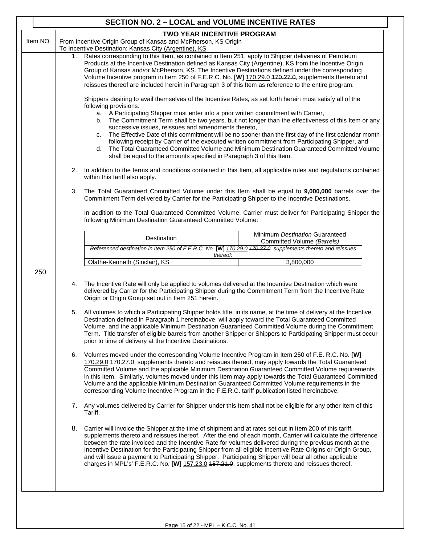| Item NO. |                                                                                                                                                                                                                                                                                                                                                                                                                                                                                                                                      | <b>TWO YEAR INCENTIVE PROGRAM</b><br>From Incentive Origin Group of Kansas and McPherson, KS Origin                                                                                                                                                                                                                                                                                                                                                                                                                                                                                                                                                                                                                                                                            |                                                                                                                                                                                                                                                                                                                                                                                                             |  |  |  |  |  |
|----------|--------------------------------------------------------------------------------------------------------------------------------------------------------------------------------------------------------------------------------------------------------------------------------------------------------------------------------------------------------------------------------------------------------------------------------------------------------------------------------------------------------------------------------------|--------------------------------------------------------------------------------------------------------------------------------------------------------------------------------------------------------------------------------------------------------------------------------------------------------------------------------------------------------------------------------------------------------------------------------------------------------------------------------------------------------------------------------------------------------------------------------------------------------------------------------------------------------------------------------------------------------------------------------------------------------------------------------|-------------------------------------------------------------------------------------------------------------------------------------------------------------------------------------------------------------------------------------------------------------------------------------------------------------------------------------------------------------------------------------------------------------|--|--|--|--|--|
|          |                                                                                                                                                                                                                                                                                                                                                                                                                                                                                                                                      | To Incentive Destination: Kansas City (Argentine), KS                                                                                                                                                                                                                                                                                                                                                                                                                                                                                                                                                                                                                                                                                                                          |                                                                                                                                                                                                                                                                                                                                                                                                             |  |  |  |  |  |
|          | 1. Rates corresponding to this Item, as contained in Item 251, apply to Shipper deliveries of Petroleum<br>Products at the Incentive Destination defined as Kansas City (Argentine), KS from the Incentive Origin<br>Group of Kansas and/or McPherson, KS. The Incentive Destinations defined under the corresponding<br>Volume Incentive program in Item 250 of F.E.R.C. No. [W] 170.29.0 470.27.0, supplements thereto and<br>reissues thereof are included herein in Paragraph 3 of this Item as reference to the entire program. |                                                                                                                                                                                                                                                                                                                                                                                                                                                                                                                                                                                                                                                                                                                                                                                |                                                                                                                                                                                                                                                                                                                                                                                                             |  |  |  |  |  |
|          |                                                                                                                                                                                                                                                                                                                                                                                                                                                                                                                                      | Shippers desiring to avail themselves of the Incentive Rates, as set forth herein must satisfy all of the<br>following provisions:<br>a. A Participating Shipper must enter into a prior written commitment with Carrier,<br>b.<br>successive issues, reissues and amendments thereto,<br>C.<br>d.<br>shall be equal to the amounts specified in Paragraph 3 of this Item.                                                                                                                                                                                                                                                                                                                                                                                                     | The Commitment Term shall be two years, but not longer than the effectiveness of this Item or any<br>The Effective Date of this commitment will be no sooner than the first day of the first calendar month<br>following receipt by Carrier of the executed written commitment from Participating Shipper, and<br>The Total Guaranteed Committed Volume and Minimum Destination Guaranteed Committed Volume |  |  |  |  |  |
|          |                                                                                                                                                                                                                                                                                                                                                                                                                                                                                                                                      | 2. In addition to the terms and conditions contained in this Item, all applicable rules and regulations contained<br>within this tariff also apply.                                                                                                                                                                                                                                                                                                                                                                                                                                                                                                                                                                                                                            |                                                                                                                                                                                                                                                                                                                                                                                                             |  |  |  |  |  |
|          | 3.                                                                                                                                                                                                                                                                                                                                                                                                                                                                                                                                   | The Total Guaranteed Committed Volume under this Item shall be equal to 9,000,000 barrels over the<br>Commitment Term delivered by Carrier for the Participating Shipper to the Incentive Destinations.                                                                                                                                                                                                                                                                                                                                                                                                                                                                                                                                                                        |                                                                                                                                                                                                                                                                                                                                                                                                             |  |  |  |  |  |
|          |                                                                                                                                                                                                                                                                                                                                                                                                                                                                                                                                      | In addition to the Total Guaranteed Committed Volume, Carrier must deliver for Participating Shipper the<br>following Minimum Destination Guaranteed Committed Volume:                                                                                                                                                                                                                                                                                                                                                                                                                                                                                                                                                                                                         |                                                                                                                                                                                                                                                                                                                                                                                                             |  |  |  |  |  |
|          |                                                                                                                                                                                                                                                                                                                                                                                                                                                                                                                                      | Destination                                                                                                                                                                                                                                                                                                                                                                                                                                                                                                                                                                                                                                                                                                                                                                    | Minimum Destination Guaranteed                                                                                                                                                                                                                                                                                                                                                                              |  |  |  |  |  |
|          |                                                                                                                                                                                                                                                                                                                                                                                                                                                                                                                                      | Referenced destination in Item 250 of F.E.R.C. No. [W] 170.29.0 470.27.0, supplements thereto and reissues                                                                                                                                                                                                                                                                                                                                                                                                                                                                                                                                                                                                                                                                     | Committed Volume (Barrels)                                                                                                                                                                                                                                                                                                                                                                                  |  |  |  |  |  |
|          |                                                                                                                                                                                                                                                                                                                                                                                                                                                                                                                                      | thereof:<br>Olathe-Kenneth (Sinclair), KS                                                                                                                                                                                                                                                                                                                                                                                                                                                                                                                                                                                                                                                                                                                                      | 3,800,000                                                                                                                                                                                                                                                                                                                                                                                                   |  |  |  |  |  |
|          | 5.                                                                                                                                                                                                                                                                                                                                                                                                                                                                                                                                   | 4. The Incentive Rate will only be applied to volumes delivered at the Incentive Destination which were<br>delivered by Carrier for the Participating Shipper during the Commitment Term from the Incentive Rate<br>Origin or Origin Group set out in Item 251 herein.<br>All volumes to which a Participating Shipper holds title, in its name, at the time of delivery at the Incentive<br>Destination defined in Paragraph 1 hereinabove, will apply toward the Total Guaranteed Committed<br>Volume, and the applicable Minimum Destination Guaranteed Committed Volume during the Commitment<br>Term. Title transfer of eligible barrels from another Shipper or Shippers to Participating Shipper must occur<br>prior to time of delivery at the Incentive Destinations. |                                                                                                                                                                                                                                                                                                                                                                                                             |  |  |  |  |  |
|          |                                                                                                                                                                                                                                                                                                                                                                                                                                                                                                                                      | 6. Volumes moved under the corresponding Volume Incentive Program in Item 250 of F.E. R.C. No. [W]<br>170.29.0 470.27.0, supplements thereto and reissues thereof, may apply towards the Total Guaranteed<br>Committed Volume and the applicable Minimum Destination Guaranteed Committed Volume requirements<br>in this Item. Similarly, volumes moved under this Item may apply towards the Total Guaranteed Committed<br>Volume and the applicable Minimum Destination Guaranteed Committed Volume requirements in the<br>corresponding Volume Incentive Program in the F.E.R.C. tariff publication listed hereinabove.                                                                                                                                                     |                                                                                                                                                                                                                                                                                                                                                                                                             |  |  |  |  |  |
|          |                                                                                                                                                                                                                                                                                                                                                                                                                                                                                                                                      | 7. Any volumes delivered by Carrier for Shipper under this Item shall not be eligible for any other Item of this<br>Tariff.                                                                                                                                                                                                                                                                                                                                                                                                                                                                                                                                                                                                                                                    |                                                                                                                                                                                                                                                                                                                                                                                                             |  |  |  |  |  |
|          |                                                                                                                                                                                                                                                                                                                                                                                                                                                                                                                                      | 8. Carrier will invoice the Shipper at the time of shipment and at rates set out in Item 200 of this tariff,<br>supplements thereto and reissues thereof. After the end of each month, Carrier will calculate the difference<br>between the rate invoiced and the Incentive Rate for volumes delivered during the previous month at the                                                                                                                                                                                                                                                                                                                                                                                                                                        | Incentive Destination for the Participating Shipper from all eligible Incentive Rate Origins or Origin Group,                                                                                                                                                                                                                                                                                               |  |  |  |  |  |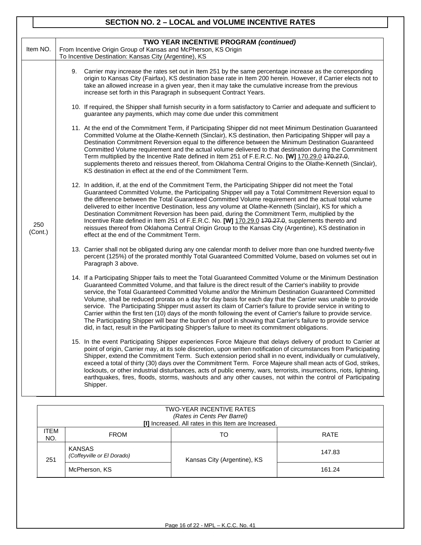## **SECTION NO. 2 – LOCAL and VOLUME INCENTIVE RATES**

| Item NO.       | TWO YEAR INCENTIVE PROGRAM (continued)<br>From Incentive Origin Group of Kansas and McPherson, KS Origin<br>To Incentive Destination: Kansas City (Argentine), KS                                                                                                                                                                                                                                                                                                                                                                                                                                                                                                                                                                                                                                                                                                                                       |
|----------------|---------------------------------------------------------------------------------------------------------------------------------------------------------------------------------------------------------------------------------------------------------------------------------------------------------------------------------------------------------------------------------------------------------------------------------------------------------------------------------------------------------------------------------------------------------------------------------------------------------------------------------------------------------------------------------------------------------------------------------------------------------------------------------------------------------------------------------------------------------------------------------------------------------|
|                | 9. Carrier may increase the rates set out in Item 251 by the same percentage increase as the corresponding<br>origin to Kansas City (Fairfax), KS destination base rate in Item 200 herein. However, if Carrier elects not to<br>take an allowed increase in a given year, then it may take the cumulative increase from the previous<br>increase set forth in this Paragraph in subsequent Contract Years.                                                                                                                                                                                                                                                                                                                                                                                                                                                                                             |
|                | 10. If required, the Shipper shall furnish security in a form satisfactory to Carrier and adequate and sufficient to<br>guarantee any payments, which may come due under this commitment                                                                                                                                                                                                                                                                                                                                                                                                                                                                                                                                                                                                                                                                                                                |
|                | 11. At the end of the Commitment Term, if Participating Shipper did not meet Minimum Destination Guaranteed<br>Committed Volume at the Olathe-Kenneth (Sinclair), KS destination, then Participating Shipper will pay a<br>Destination Commitment Reversion equal to the difference between the Minimum Destination Guaranteed<br>Committed Volume requirement and the actual volume delivered to that destination during the Commitment<br>Term multiplied by the Incentive Rate defined in Item 251 of F.E.R.C. No. [W] 170.29.0 470.27.0,<br>supplements thereto and reissues thereof, from Oklahoma Central Origins to the Olathe-Kenneth (Sinclair),<br>KS destination in effect at the end of the Commitment Term.                                                                                                                                                                                |
| 250<br>(Cont.) | 12. In addition, if, at the end of the Commitment Term, the Participating Shipper did not meet the Total<br>Guaranteed Committed Volume, the Participating Shipper will pay a Total Commitment Reversion equal to<br>the difference between the Total Guaranteed Committed Volume requirement and the actual total volume<br>delivered to either Incentive Destination, less any volume at Olathe-Kenneth (Sinclair), KS for which a<br>Destination Commitment Reversion has been paid, during the Commitment Term, multiplied by the<br>Incentive Rate defined in Item 251 of F.E.R.C. No. [W] 170.29.0 470.27.0, supplements thereto and<br>reissues thereof from Oklahoma Central Origin Group to the Kansas City (Argentine), KS destination in<br>effect at the end of the Commitment Term.                                                                                                        |
|                | 13. Carrier shall not be obligated during any one calendar month to deliver more than one hundred twenty-five<br>percent (125%) of the prorated monthly Total Guaranteed Committed Volume, based on volumes set out in<br>Paragraph 3 above.                                                                                                                                                                                                                                                                                                                                                                                                                                                                                                                                                                                                                                                            |
|                | 14. If a Participating Shipper fails to meet the Total Guaranteed Committed Volume or the Minimum Destination<br>Guaranteed Committed Volume, and that failure is the direct result of the Carrier's inability to provide<br>service, the Total Guaranteed Committed Volume and/or the Minimum Destination Guaranteed Committed<br>Volume, shall be reduced prorata on a day for day basis for each day that the Carrier was unable to provide<br>service. The Participating Shipper must assert its claim of Carrier's failure to provide service in writing to<br>Carrier within the first ten (10) days of the month following the event of Carrier's failure to provide service.<br>The Participating Shipper will bear the burden of proof in showing that Carrier's failure to provide service<br>did, in fact, result in the Participating Shipper's failure to meet its commitment obligations. |
|                | 15. In the event Participating Shipper experiences Force Majeure that delays delivery of product to Carrier at<br>point of origin, Carrier may, at its sole discretion, upon written notification of circumstances from Participating<br>Shipper, extend the Commitment Term. Such extension period shall in no event, individually or cumulatively,<br>exceed a total of thirty (30) days over the Commitment Term. Force Majeure shall mean acts of God, strikes,<br>lockouts, or other industrial disturbances, acts of public enemy, wars, terrorists, insurrections, riots, lightning,<br>earthquakes, fires, floods, storms, washouts and any other causes, not within the control of Participating<br>Shipper.                                                                                                                                                                                   |
|                | TWO-YEAR INCENTIVE RATES                                                                                                                                                                                                                                                                                                                                                                                                                                                                                                                                                                                                                                                                                                                                                                                                                                                                                |

| IWO-YEAR INCENTIVE RATES<br>(Rates in Cents Per Barrel)<br>[I] Increased. All rates in this Item are Increased. |                                             |                             |        |  |  |  |
|-----------------------------------------------------------------------------------------------------------------|---------------------------------------------|-----------------------------|--------|--|--|--|
| <b>ITEM</b><br>NO.                                                                                              | <b>FROM</b>                                 | TO                          | RATE   |  |  |  |
| 251                                                                                                             | <b>KANSAS</b><br>(Coffeyville or El Dorado) | Kansas City (Argentine), KS | 147.83 |  |  |  |
|                                                                                                                 | McPherson, KS                               |                             | 161.24 |  |  |  |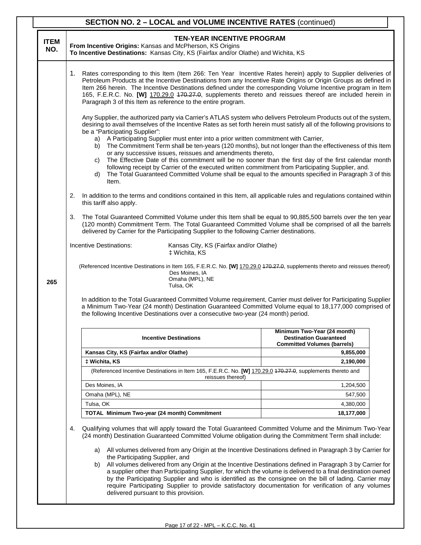|                    |    | <b>SECTION NO. 2 - LOCAL and VOLUME INCENTIVE RATES (continued)</b>                                                                                                                                                                                                                                                                                                                                                                                                                                                                                                                                                                                                                                                                                                                                                                                                                           |                                                                                                    |  |  |  |
|--------------------|----|-----------------------------------------------------------------------------------------------------------------------------------------------------------------------------------------------------------------------------------------------------------------------------------------------------------------------------------------------------------------------------------------------------------------------------------------------------------------------------------------------------------------------------------------------------------------------------------------------------------------------------------------------------------------------------------------------------------------------------------------------------------------------------------------------------------------------------------------------------------------------------------------------|----------------------------------------------------------------------------------------------------|--|--|--|
| <b>ITEM</b><br>NO. |    | <b>TEN-YEAR INCENTIVE PROGRAM</b><br>From Incentive Origins: Kansas and McPherson, KS Origins<br>To Incentive Destinations: Kansas City, KS (Fairfax and/or Olathe) and Wichita, KS                                                                                                                                                                                                                                                                                                                                                                                                                                                                                                                                                                                                                                                                                                           |                                                                                                    |  |  |  |
|                    |    | 1. Rates corresponding to this Item (Item 266: Ten Year Incentive Rates herein) apply to Supplier deliveries of<br>Petroleum Products at the Incentive Destinations from any Incentive Rate Origins or Origin Groups as defined in<br>Item 266 herein. The Incentive Destinations defined under the corresponding Volume Incentive program in Item<br>165, F.E.R.C. No. [W] 170.29.0 470.27.0, supplements thereto and reissues thereof are included herein in<br>Paragraph 3 of this Item as reference to the entire program.                                                                                                                                                                                                                                                                                                                                                                |                                                                                                    |  |  |  |
|                    |    | Any Supplier, the authorized party via Carrier's ATLAS system who delivers Petroleum Products out of the system,<br>desiring to avail themselves of the Incentive Rates as set forth herein must satisfy all of the following provisions to<br>be a "Participating Supplier":<br>a) A Participating Supplier must enter into a prior written commitment with Carrier,<br>b) The Commitment Term shall be ten-years (120 months), but not longer than the effectiveness of this Item<br>or any successive issues, reissues and amendments thereto,<br>The Effective Date of this commitment will be no sooner than the first day of the first calendar month<br>C)<br>following receipt by Carrier of the executed written commitment from Participating Supplier, and.<br>The Total Guaranteed Committed Volume shall be equal to the amounts specified in Paragraph 3 of this<br>d)<br>Item. |                                                                                                    |  |  |  |
|                    | 2. | In addition to the terms and conditions contained in this Item, all applicable rules and regulations contained within<br>this tariff also apply.                                                                                                                                                                                                                                                                                                                                                                                                                                                                                                                                                                                                                                                                                                                                              |                                                                                                    |  |  |  |
|                    | 3. | The Total Guaranteed Committed Volume under this Item shall be equal to 90,885,500 barrels over the ten year<br>(120 month) Commitment Term. The Total Guaranteed Committed Volume shall be comprised of all the barrels<br>delivered by Carrier for the Participating Supplier to the following Carrier destinations.                                                                                                                                                                                                                                                                                                                                                                                                                                                                                                                                                                        |                                                                                                    |  |  |  |
|                    |    | Incentive Destinations:<br>Kansas City, KS (Fairfax and/or Olathe)<br>‡ Wichita, KS                                                                                                                                                                                                                                                                                                                                                                                                                                                                                                                                                                                                                                                                                                                                                                                                           |                                                                                                    |  |  |  |
| 265                |    | (Referenced Incentive Destinations in Item 165, F.E.R.C. No. [W] 170.29.0 470.27.0, supplements thereto and reissues thereof)<br>Des Moines, IA<br>Omaha (MPL), NE<br>Tulsa, OK                                                                                                                                                                                                                                                                                                                                                                                                                                                                                                                                                                                                                                                                                                               |                                                                                                    |  |  |  |
|                    |    | In addition to the Total Guaranteed Committed Volume requirement, Carrier must deliver for Participating Supplier<br>a Minimum Two-Year (24 month) Destination Guaranteed Committed Volume equal to 18,177,000 comprised of<br>the following Incentive Destinations over a consecutive two-year (24 month) period.                                                                                                                                                                                                                                                                                                                                                                                                                                                                                                                                                                            |                                                                                                    |  |  |  |
|                    |    | <b>Incentive Destinations</b>                                                                                                                                                                                                                                                                                                                                                                                                                                                                                                                                                                                                                                                                                                                                                                                                                                                                 | Minimum Two-Year (24 month)<br><b>Destination Guaranteed</b><br><b>Committed Volumes (barrels)</b> |  |  |  |
|                    |    | Kansas City, KS (Fairfax and/or Olathe)                                                                                                                                                                                                                                                                                                                                                                                                                                                                                                                                                                                                                                                                                                                                                                                                                                                       | 9,855,000                                                                                          |  |  |  |
|                    |    | # Wichita, KS                                                                                                                                                                                                                                                                                                                                                                                                                                                                                                                                                                                                                                                                                                                                                                                                                                                                                 | 2,190,000                                                                                          |  |  |  |
|                    |    | (Referenced Incentive Destinations in Item 165, F.E.R.C. No. [W] 170.29.0 470.27.0, supplements thereto and<br>reissues thereof)                                                                                                                                                                                                                                                                                                                                                                                                                                                                                                                                                                                                                                                                                                                                                              |                                                                                                    |  |  |  |
|                    |    | Des Moines, IA                                                                                                                                                                                                                                                                                                                                                                                                                                                                                                                                                                                                                                                                                                                                                                                                                                                                                | 1,204,500                                                                                          |  |  |  |
|                    |    | Omaha (MPL), NE                                                                                                                                                                                                                                                                                                                                                                                                                                                                                                                                                                                                                                                                                                                                                                                                                                                                               | 547,500                                                                                            |  |  |  |
|                    |    | Tulsa, OK                                                                                                                                                                                                                                                                                                                                                                                                                                                                                                                                                                                                                                                                                                                                                                                                                                                                                     | 4,380,000                                                                                          |  |  |  |
|                    |    | TOTAL Minimum Two-year (24 month) Commitment                                                                                                                                                                                                                                                                                                                                                                                                                                                                                                                                                                                                                                                                                                                                                                                                                                                  | 18,177,000                                                                                         |  |  |  |
|                    | 4. | Qualifying volumes that will apply toward the Total Guaranteed Committed Volume and the Minimum Two-Year<br>(24 month) Destination Guaranteed Committed Volume obligation during the Commitment Term shall include:                                                                                                                                                                                                                                                                                                                                                                                                                                                                                                                                                                                                                                                                           |                                                                                                    |  |  |  |
|                    |    | a) All volumes delivered from any Origin at the Incentive Destinations defined in Paragraph 3 by Carrier for<br>the Participating Supplier, and<br>b) All volumes delivered from any Origin at the Incentive Destinations defined in Paragraph 3 by Carrier for<br>a supplier other than Participating Supplier, for which the volume is delivered to a final destination owned<br>by the Participating Supplier and who is identified as the consignee on the bill of lading. Carrier may<br>require Participating Supplier to provide satisfactory documentation for verification of any volumes<br>delivered pursuant to this provision.                                                                                                                                                                                                                                                   |                                                                                                    |  |  |  |

Τ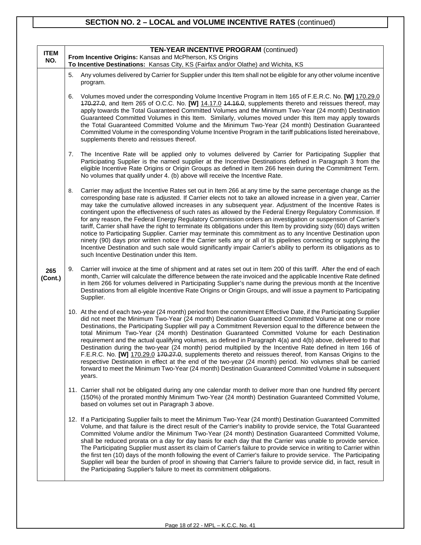# **SECTION NO. 2 – LOCAL and VOLUME INCENTIVE RATES** (continued)

| <b>ITEM</b><br>NO. |    | <b>TEN-YEAR INCENTIVE PROGRAM (continued)</b><br>From Incentive Origins: Kansas and McPherson, KS Origins<br>To Incentive Destinations: Kansas City, KS (Fairfax and/or Olathe) and Wichita, KS                                                                                                                                                                                                                                                                                                                                                                                                                                                                                                                                                                                                                                                                                                                                                                                                                                                                                                           |  |  |  |  |
|--------------------|----|-----------------------------------------------------------------------------------------------------------------------------------------------------------------------------------------------------------------------------------------------------------------------------------------------------------------------------------------------------------------------------------------------------------------------------------------------------------------------------------------------------------------------------------------------------------------------------------------------------------------------------------------------------------------------------------------------------------------------------------------------------------------------------------------------------------------------------------------------------------------------------------------------------------------------------------------------------------------------------------------------------------------------------------------------------------------------------------------------------------|--|--|--|--|
|                    | 5. | Any volumes delivered by Carrier for Supplier under this Item shall not be eligible for any other volume incentive<br>program.                                                                                                                                                                                                                                                                                                                                                                                                                                                                                                                                                                                                                                                                                                                                                                                                                                                                                                                                                                            |  |  |  |  |
|                    | 6. | Volumes moved under the corresponding Volume Incentive Program in Item 165 of F.E.R.C. No. [W] 170.29.0<br>470.27.0, and Item 265 of O.C.C. No. [W] 14.17.0 44.16.0, supplements thereto and reissues thereof, may<br>apply towards the Total Guaranteed Committed Volumes and the Minimum Two-Year (24 month) Destination<br>Guaranteed Committed Volumes in this Item. Similarly, volumes moved under this Item may apply towards<br>the Total Guaranteed Committed Volume and the Minimum Two-Year (24 month) Destination Guaranteed<br>Committed Volume in the corresponding Volume Incentive Program in the tariff publications listed hereinabove,<br>supplements thereto and reissues thereof.                                                                                                                                                                                                                                                                                                                                                                                                     |  |  |  |  |
|                    | 7. | The Incentive Rate will be applied only to volumes delivered by Carrier for Participating Supplier that<br>Participating Supplier is the named supplier at the Incentive Destinations defined in Paragraph 3 from the<br>eligible Incentive Rate Origins or Origin Groups as defined in Item 266 herein during the Commitment Term.<br>No volumes that qualify under 4. (b) above will receive the Incentive Rate.                                                                                                                                                                                                                                                                                                                                                                                                                                                                                                                                                                                                                                                                                        |  |  |  |  |
|                    | 8. | Carrier may adjust the Incentive Rates set out in Item 266 at any time by the same percentage change as the<br>corresponding base rate is adjusted. If Carrier elects not to take an allowed increase in a given year, Carrier<br>may take the cumulative allowed increases in any subsequent year. Adjustment of the Incentive Rates is<br>contingent upon the effectiveness of such rates as allowed by the Federal Energy Regulatory Commission. If<br>for any reason, the Federal Energy Regulatory Commission orders an investigation or suspension of Carrier's<br>tariff, Carrier shall have the right to terminate its obligations under this Item by providing sixty (60) days written<br>notice to Participating Supplier. Carrier may terminate this commitment as to any Incentive Destination upon<br>ninety (90) days prior written notice if the Carrier sells any or all of its pipelines connecting or supplying the<br>Incentive Destination and such sale would significantly impair Carrier's ability to perform its obligations as to<br>such Incentive Destination under this Item. |  |  |  |  |
| 265<br>(Cont.)     | 9. | Carrier will invoice at the time of shipment and at rates set out in Item 200 of this tariff. After the end of each<br>month, Carrier will calculate the difference between the rate invoiced and the applicable Incentive Rate defined<br>in Item 266 for volumes delivered in Participating Supplier's name during the previous month at the Incentive<br>Destinations from all eligible Incentive Rate Origins or Origin Groups, and will issue a payment to Participating<br>Supplier.                                                                                                                                                                                                                                                                                                                                                                                                                                                                                                                                                                                                                |  |  |  |  |
|                    |    | 10. At the end of each two-year (24 month) period from the commitment Effective Date, if the Participating Supplier<br>did not meet the Minimum Two-Year (24 month) Destination Guaranteed Committed Volume at one or more<br>Destinations, the Participating Supplier will pay a Commitment Reversion equal to the difference between the<br>total Minimum Two-Year (24 month) Destination Guaranteed Committed Volume for each Destination<br>requirement and the actual qualifying volumes, as defined in Paragraph 4(a) and 4(b) above, delivered to that<br>Destination during the two-year (24 month) period multiplied by the Incentive Rate defined in Item 166 of<br>F.E.R.C. No. [W] 170.29.0 470.27.0, supplements thereto and reissues thereof, from Kansas Origins to the<br>respective Destination in effect at the end of the two-year (24 month) period. No volumes shall be carried<br>forward to meet the Minimum Two-Year (24 month) Destination Guaranteed Committed Volume in subsequent<br>years.                                                                                   |  |  |  |  |
|                    |    | 11. Carrier shall not be obligated during any one calendar month to deliver more than one hundred fifty percent<br>(150%) of the prorated monthly Minimum Two-Year (24 month) Destination Guaranteed Committed Volume,<br>based on volumes set out in Paragraph 3 above.                                                                                                                                                                                                                                                                                                                                                                                                                                                                                                                                                                                                                                                                                                                                                                                                                                  |  |  |  |  |
|                    |    | 12. If a Participating Supplier fails to meet the Minimum Two-Year (24 month) Destination Guaranteed Committed<br>Volume, and that failure is the direct result of the Carrier's inability to provide service, the Total Guaranteed<br>Committed Volume and/or the Minimum Two-Year (24 month) Destination Guaranteed Committed Volume,<br>shall be reduced prorata on a day for day basis for each day that the Carrier was unable to provide service.<br>The Participating Supplier must assert its claim of Carrier's failure to provide service in writing to Carrier within<br>the first ten (10) days of the month following the event of Carrier's failure to provide service. The Participating<br>Supplier will bear the burden of proof in showing that Carrier's failure to provide service did, in fact, result in<br>the Participating Supplier's failure to meet its commitment obligations.                                                                                                                                                                                                |  |  |  |  |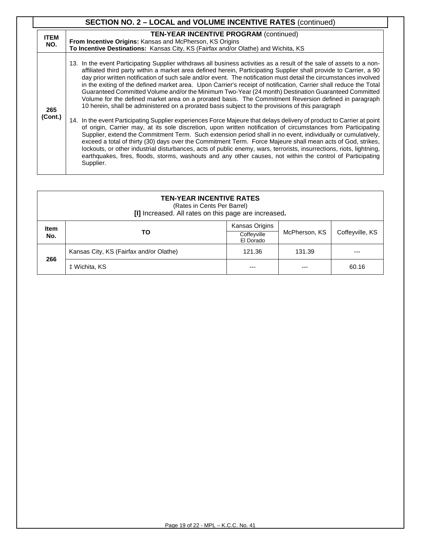|                    | <b>SECTION NO. 2 - LOCAL and VOLUME INCENTIVE RATES (continued)</b>                                                                                                                                                                                                                                                                                                                                                                                                                                                                                                                                                                                                                                                                                                                                                                                                                                                                                                                                                                                                                                                                                                                                                                                                                                                                                                                                       |
|--------------------|-----------------------------------------------------------------------------------------------------------------------------------------------------------------------------------------------------------------------------------------------------------------------------------------------------------------------------------------------------------------------------------------------------------------------------------------------------------------------------------------------------------------------------------------------------------------------------------------------------------------------------------------------------------------------------------------------------------------------------------------------------------------------------------------------------------------------------------------------------------------------------------------------------------------------------------------------------------------------------------------------------------------------------------------------------------------------------------------------------------------------------------------------------------------------------------------------------------------------------------------------------------------------------------------------------------------------------------------------------------------------------------------------------------|
| <b>ITEM</b><br>NO. | <b>TEN-YEAR INCENTIVE PROGRAM (continued)</b><br><b>From Incentive Origins: Kansas and McPherson, KS Origins</b><br>To Incentive Destinations: Kansas City, KS (Fairfax and/or Olathe) and Wichita, KS                                                                                                                                                                                                                                                                                                                                                                                                                                                                                                                                                                                                                                                                                                                                                                                                                                                                                                                                                                                                                                                                                                                                                                                                    |
| 265<br>(Cont.)     | 13. In the event Participating Supplier withdraws all business activities as a result of the sale of assets to a non-<br>affiliated third party within a market area defined herein, Participating Supplier shall provide to Carrier, a 90<br>day prior written notification of such sale and/or event. The notification must detail the circumstances involved<br>in the exiting of the defined market area. Upon Carrier's receipt of notification, Carrier shall reduce the Total<br>Guaranteed Committed Volume and/or the Minimum Two-Year (24 month) Destination Guaranteed Committed<br>Volume for the defined market area on a prorated basis. The Commitment Reversion defined in paragraph<br>10 herein, shall be administered on a prorated basis subject to the provisions of this paragraph<br>14. In the event Participating Supplier experiences Force Majeure that delays delivery of product to Carrier at point<br>of origin, Carrier may, at its sole discretion, upon written notification of circumstances from Participating<br>Supplier, extend the Commitment Term. Such extension period shall in no event, individually or cumulatively,<br>exceed a total of thirty (30) days over the Commitment Term. Force Majeure shall mean acts of God, strikes,<br>lockouts, or other industrial disturbances, acts of public enemy, wars, terrorists, insurrections, riots, lightning, |
|                    | earthquakes, fires, floods, storms, washouts and any other causes, not within the control of Participating<br>Supplier.                                                                                                                                                                                                                                                                                                                                                                                                                                                                                                                                                                                                                                                                                                                                                                                                                                                                                                                                                                                                                                                                                                                                                                                                                                                                                   |

| <b>TEN-YEAR INCENTIVE RATES</b><br>(Rates in Cents Per Barrel)<br>[I] Increased. All rates on this page are increased. |                                         |                                            |               |                 |  |
|------------------------------------------------------------------------------------------------------------------------|-----------------------------------------|--------------------------------------------|---------------|-----------------|--|
| <b>Item</b><br>No.                                                                                                     | TO.                                     | Kansas Origins<br>Coffeyville<br>El Dorado | McPherson, KS | Coffeyville, KS |  |
| 266                                                                                                                    | Kansas City, KS (Fairfax and/or Olathe) | 121.36                                     | 131.39        | ---             |  |
|                                                                                                                        | ± Wichita, KS                           | ---                                        |               | 60.16           |  |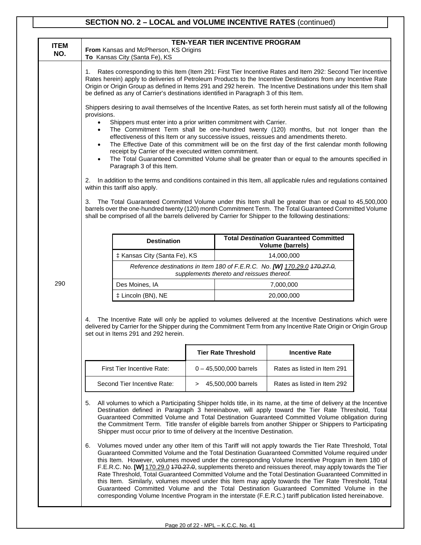## **SECTION NO. 2 – LOCAL and VOLUME INCENTIVE RATES** (continued)

| <b>ITEM</b><br>NO. |                                                                                                                                                                                                                                                                                                                                                                                                                                                                                                                                                                                                                                                                                                                                                                                                                                                                                                                                                                                                                                                                                                                                                                                                                                                                                                                                                                                                                                                                                                                                                                                                                                                                             | From Kansas and McPherson, KS Origins<br>To Kansas City (Santa Fe), KS                                                                                                                                                                                                                                                                                                                                                                                                                                                                                                                                                                                                                                                                                                                                                                                |        | <b>TEN-YEAR TIER INCENTIVE PROGRAM</b>    |                                                                                                                                                                                                                                                  |  |
|--------------------|-----------------------------------------------------------------------------------------------------------------------------------------------------------------------------------------------------------------------------------------------------------------------------------------------------------------------------------------------------------------------------------------------------------------------------------------------------------------------------------------------------------------------------------------------------------------------------------------------------------------------------------------------------------------------------------------------------------------------------------------------------------------------------------------------------------------------------------------------------------------------------------------------------------------------------------------------------------------------------------------------------------------------------------------------------------------------------------------------------------------------------------------------------------------------------------------------------------------------------------------------------------------------------------------------------------------------------------------------------------------------------------------------------------------------------------------------------------------------------------------------------------------------------------------------------------------------------------------------------------------------------------------------------------------------------|-------------------------------------------------------------------------------------------------------------------------------------------------------------------------------------------------------------------------------------------------------------------------------------------------------------------------------------------------------------------------------------------------------------------------------------------------------------------------------------------------------------------------------------------------------------------------------------------------------------------------------------------------------------------------------------------------------------------------------------------------------------------------------------------------------------------------------------------------------|--------|-------------------------------------------|--------------------------------------------------------------------------------------------------------------------------------------------------------------------------------------------------------------------------------------------------|--|
|                    | Rates corresponding to this Item (Item 291: First Tier Incentive Rates and Item 292: Second Tier Incentive<br>1.<br>Rates herein) apply to deliveries of Petroleum Products to the Incentive Destinations from any Incentive Rate<br>Origin or Origin Group as defined in Items 291 and 292 herein. The Incentive Destinations under this Item shall<br>be defined as any of Carrier's destinations identified in Paragraph 3 of this Item.<br>Shippers desiring to avail themselves of the Incentive Rates, as set forth herein must satisfy all of the following<br>provisions.<br>Shippers must enter into a prior written commitment with Carrier.<br>The Commitment Term shall be one-hundred twenty (120) months, but not longer than the<br>$\bullet$<br>effectiveness of this Item or any successive issues, reissues and amendments thereto.<br>The Effective Date of this commitment will be on the first day of the first calendar month following<br>$\bullet$<br>receipt by Carrier of the executed written commitment.<br>The Total Guaranteed Committed Volume shall be greater than or equal to the amounts specified in<br>$\bullet$<br>Paragraph 3 of this Item.<br>In addition to the terms and conditions contained in this Item, all applicable rules and regulations contained<br>2.<br>within this tariff also apply.<br>The Total Guaranteed Committed Volume under this Item shall be greater than or equal to 45,500,000<br>3.<br>barrels over the one-hundred twenty (120) month Commitment Term. The Total Guaranteed Committed Volume<br>shall be comprised of all the barrels delivered by Carrier for Shipper to the following destinations: |                                                                                                                                                                                                                                                                                                                                                                                                                                                                                                                                                                                                                                                                                                                                                                                                                                                       |        |                                           |                                                                                                                                                                                                                                                  |  |
|                    |                                                                                                                                                                                                                                                                                                                                                                                                                                                                                                                                                                                                                                                                                                                                                                                                                                                                                                                                                                                                                                                                                                                                                                                                                                                                                                                                                                                                                                                                                                                                                                                                                                                                             | <b>Destination</b>                                                                                                                                                                                                                                                                                                                                                                                                                                                                                                                                                                                                                                                                                                                                                                                                                                    |        |                                           | <b>Total Destination Guaranteed Committed</b><br><b>Volume (barrels)</b>                                                                                                                                                                         |  |
|                    |                                                                                                                                                                                                                                                                                                                                                                                                                                                                                                                                                                                                                                                                                                                                                                                                                                                                                                                                                                                                                                                                                                                                                                                                                                                                                                                                                                                                                                                                                                                                                                                                                                                                             | ‡ Kansas City (Santa Fe), KS                                                                                                                                                                                                                                                                                                                                                                                                                                                                                                                                                                                                                                                                                                                                                                                                                          |        |                                           | 14,000,000                                                                                                                                                                                                                                       |  |
|                    |                                                                                                                                                                                                                                                                                                                                                                                                                                                                                                                                                                                                                                                                                                                                                                                                                                                                                                                                                                                                                                                                                                                                                                                                                                                                                                                                                                                                                                                                                                                                                                                                                                                                             |                                                                                                                                                                                                                                                                                                                                                                                                                                                                                                                                                                                                                                                                                                                                                                                                                                                       |        |                                           | Reference destinations in Item 180 of F.E.R.C. No. [W] 170.29.0 470.27.0,                                                                                                                                                                        |  |
|                    |                                                                                                                                                                                                                                                                                                                                                                                                                                                                                                                                                                                                                                                                                                                                                                                                                                                                                                                                                                                                                                                                                                                                                                                                                                                                                                                                                                                                                                                                                                                                                                                                                                                                             |                                                                                                                                                                                                                                                                                                                                                                                                                                                                                                                                                                                                                                                                                                                                                                                                                                                       |        | supplements thereto and reissues thereof. |                                                                                                                                                                                                                                                  |  |
| 290                |                                                                                                                                                                                                                                                                                                                                                                                                                                                                                                                                                                                                                                                                                                                                                                                                                                                                                                                                                                                                                                                                                                                                                                                                                                                                                                                                                                                                                                                                                                                                                                                                                                                                             | Des Moines, IA                                                                                                                                                                                                                                                                                                                                                                                                                                                                                                                                                                                                                                                                                                                                                                                                                                        |        |                                           | 7,000,000                                                                                                                                                                                                                                        |  |
|                    |                                                                                                                                                                                                                                                                                                                                                                                                                                                                                                                                                                                                                                                                                                                                                                                                                                                                                                                                                                                                                                                                                                                                                                                                                                                                                                                                                                                                                                                                                                                                                                                                                                                                             | ‡ Lincoln (BN), NE                                                                                                                                                                                                                                                                                                                                                                                                                                                                                                                                                                                                                                                                                                                                                                                                                                    |        |                                           | 20,000,000                                                                                                                                                                                                                                       |  |
|                    | 4.                                                                                                                                                                                                                                                                                                                                                                                                                                                                                                                                                                                                                                                                                                                                                                                                                                                                                                                                                                                                                                                                                                                                                                                                                                                                                                                                                                                                                                                                                                                                                                                                                                                                          | set out in Items 291 and 292 herein.                                                                                                                                                                                                                                                                                                                                                                                                                                                                                                                                                                                                                                                                                                                                                                                                                  |        | <b>Tier Rate Threshold</b>                | The Incentive Rate will only be applied to volumes delivered at the Incentive Destinations which were<br>delivered by Carrier for the Shipper during the Commitment Term from any Incentive Rate Origin or Origin Group<br><b>Incentive Rate</b> |  |
|                    |                                                                                                                                                                                                                                                                                                                                                                                                                                                                                                                                                                                                                                                                                                                                                                                                                                                                                                                                                                                                                                                                                                                                                                                                                                                                                                                                                                                                                                                                                                                                                                                                                                                                             | First Tier Incentive Rate:                                                                                                                                                                                                                                                                                                                                                                                                                                                                                                                                                                                                                                                                                                                                                                                                                            |        | $0 - 45,500,000$ barrels                  | Rates as listed in Item 291                                                                                                                                                                                                                      |  |
|                    |                                                                                                                                                                                                                                                                                                                                                                                                                                                                                                                                                                                                                                                                                                                                                                                                                                                                                                                                                                                                                                                                                                                                                                                                                                                                                                                                                                                                                                                                                                                                                                                                                                                                             | Second Tier Incentive Rate:                                                                                                                                                                                                                                                                                                                                                                                                                                                                                                                                                                                                                                                                                                                                                                                                                           | $\geq$ | 45,500,000 barrels                        | Rates as listed in Item 292                                                                                                                                                                                                                      |  |
|                    | 5.                                                                                                                                                                                                                                                                                                                                                                                                                                                                                                                                                                                                                                                                                                                                                                                                                                                                                                                                                                                                                                                                                                                                                                                                                                                                                                                                                                                                                                                                                                                                                                                                                                                                          | All volumes to which a Participating Shipper holds title, in its name, at the time of delivery at the Incentive<br>Destination defined in Paragraph 3 hereinabove, will apply toward the Tier Rate Threshold, Total<br>Guaranteed Committed Volume and Total Destination Guaranteed Committed Volume obligation during<br>the Commitment Term. Title transfer of eligible barrels from another Shipper or Shippers to Participating<br>Shipper must occur prior to time of delivery at the Incentive Destination.                                                                                                                                                                                                                                                                                                                                     |        |                                           |                                                                                                                                                                                                                                                  |  |
|                    | 6.                                                                                                                                                                                                                                                                                                                                                                                                                                                                                                                                                                                                                                                                                                                                                                                                                                                                                                                                                                                                                                                                                                                                                                                                                                                                                                                                                                                                                                                                                                                                                                                                                                                                          | Volumes moved under any other Item of this Tariff will not apply towards the Tier Rate Threshold, Total<br>Guaranteed Committed Volume and the Total Destination Guaranteed Committed Volume required under<br>this Item. However, volumes moved under the corresponding Volume Incentive Program in Item 180 of<br>F.E.R.C. No. [W] 170.29.0 470.27.0, supplements thereto and reissues thereof, may apply towards the Tier<br>Rate Threshold, Total Guaranteed Committed Volume and the Total Destination Guaranteed Committed in<br>this Item. Similarly, volumes moved under this Item may apply towards the Tier Rate Threshold, Total<br>Guaranteed Committed Volume and the Total Destination Guaranteed Committed Volume in the<br>corresponding Volume Incentive Program in the interstate (F.E.R.C.) tariff publication listed hereinabove. |        |                                           |                                                                                                                                                                                                                                                  |  |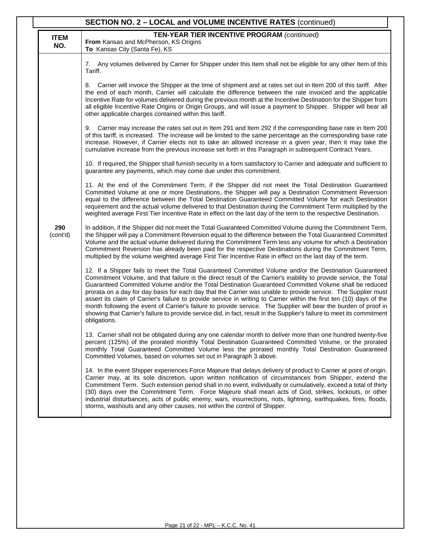| SECTION NO. 2 - LOCAL and VOLUME INCENTIVE RATES (continued) |                    |                                                                                                                                                                                                                                                                                                                                                                                                                                                                                                                                                                                                                                                                                                                                                                                                                                              |  |  |
|--------------------------------------------------------------|--------------------|----------------------------------------------------------------------------------------------------------------------------------------------------------------------------------------------------------------------------------------------------------------------------------------------------------------------------------------------------------------------------------------------------------------------------------------------------------------------------------------------------------------------------------------------------------------------------------------------------------------------------------------------------------------------------------------------------------------------------------------------------------------------------------------------------------------------------------------------|--|--|
|                                                              | <b>ITEM</b><br>NO. | <b>TEN-YEAR TIER INCENTIVE PROGRAM (continued)</b><br>From Kansas and McPherson, KS Origins<br>To Kansas City (Santa Fe), KS                                                                                                                                                                                                                                                                                                                                                                                                                                                                                                                                                                                                                                                                                                                 |  |  |
|                                                              |                    | 7. Any volumes delivered by Carrier for Shipper under this Item shall not be eligible for any other Item of this<br>Tariff.                                                                                                                                                                                                                                                                                                                                                                                                                                                                                                                                                                                                                                                                                                                  |  |  |
|                                                              |                    | Carrier will invoice the Shipper at the time of shipment and at rates set out in Item 200 of this tariff. After<br>8.<br>the end of each month, Carrier will calculate the difference between the rate invoiced and the applicable<br>Incentive Rate for volumes delivered during the previous month at the Incentive Destination for the Shipper from<br>all eligible Incentive Rate Origins or Origin Groups, and will issue a payment to Shipper. Shipper will bear all<br>other applicable charges contained within this tariff.                                                                                                                                                                                                                                                                                                         |  |  |
|                                                              |                    | 9. Carrier may increase the rates set out in Item 291 and Item 292 if the corresponding base rate in Item 200<br>of this tariff, is increased. The increase will be limited to the same percentage as the corresponding base rate<br>increase. However, if Carrier elects not to take an allowed increase in a given year, then it may take the<br>cumulative increase from the previous increase set forth in this Paragraph in subsequent Contract Years.                                                                                                                                                                                                                                                                                                                                                                                  |  |  |
|                                                              |                    | 10. If required, the Shipper shall furnish security in a form satisfactory to Carrier and adequate and sufficient to<br>guarantee any payments, which may come due under this commitment.                                                                                                                                                                                                                                                                                                                                                                                                                                                                                                                                                                                                                                                    |  |  |
|                                                              |                    | 11. At the end of the Commitment Term, if the Shipper did not meet the Total Destination Guaranteed<br>Committed Volume at one or more Destinations, the Shipper will pay a Destination Commitment Reversion<br>equal to the difference between the Total Destination Guaranteed Committed Volume for each Destination<br>requirement and the actual volume delivered to that Destination during the Commitment Term multiplied by the<br>weighted average First Tier Incentive Rate in effect on the last day of the term to the respective Destination.                                                                                                                                                                                                                                                                                    |  |  |
|                                                              | 290<br>(cont'd)    | In addition, if the Shipper did not meet the Total Guaranteed Committed Volume during the Commitment Term,<br>the Shipper will pay a Commitment Reversion equal to the difference between the Total Guaranteed Committed<br>Volume and the actual volume delivered during the Commitment Term less any volume for which a Destination<br>Commitment Reversion has already been paid for the respective Destinations during the Commitment Term,<br>multiplied by the volume weighted average First Tier Incentive Rate in effect on the last day of the term.                                                                                                                                                                                                                                                                                |  |  |
|                                                              |                    | 12. If a Shipper fails to meet the Total Guaranteed Committed Volume and/or the Destination Guaranteed<br>Commitment Volume, and that failure is the direct result of the Carrier's inability to provide service, the Total<br>Guaranteed Committed Volume and/or the Total Destination Guaranteed Committed Volume shall be reduced<br>prorata on a day for day basis for each day that the Carrier was unable to provide service. The Supplier must<br>assert its claim of Carrier's failure to provide service in writing to Carrier within the first ten (10) days of the<br>month following the event of Carrier's failure to provide service. The Supplier will bear the burden of proof in<br>showing that Carrier's failure to provide service did, in fact, result in the Supplier's failure to meet its commitment<br>obligations. |  |  |
|                                                              |                    | 13. Carrier shall not be obligated during any one calendar month to deliver more than one hundred twenty-five<br>percent (125%) of the prorated monthly Total Destination Guaranteed Committed Volume, or the prorated<br>monthly Total Guaranteed Committed Volume less the prorated monthly Total Destination Guaranteed<br>Committed Volumes, based on volumes set out in Paragraph 3 above.                                                                                                                                                                                                                                                                                                                                                                                                                                              |  |  |
|                                                              |                    | 14. In the event Shipper experiences Force Majeure that delays delivery of product to Carrier at point of origin.<br>Carrier may, at its sole discretion, upon written notification of circumstances from Shipper, extend the<br>Commitment Term. Such extension period shall in no event, individually or cumulatively, exceed a total of thirty<br>(30) days over the Commitment Term. Force Majeure shall mean acts of God, strikes, lockouts, or other<br>industrial disturbances, acts of public enemy, wars, insurrections, riots, lightning, earthquakes, fires, floods,<br>storms, washouts and any other causes, not within the control of Shipper.                                                                                                                                                                                 |  |  |